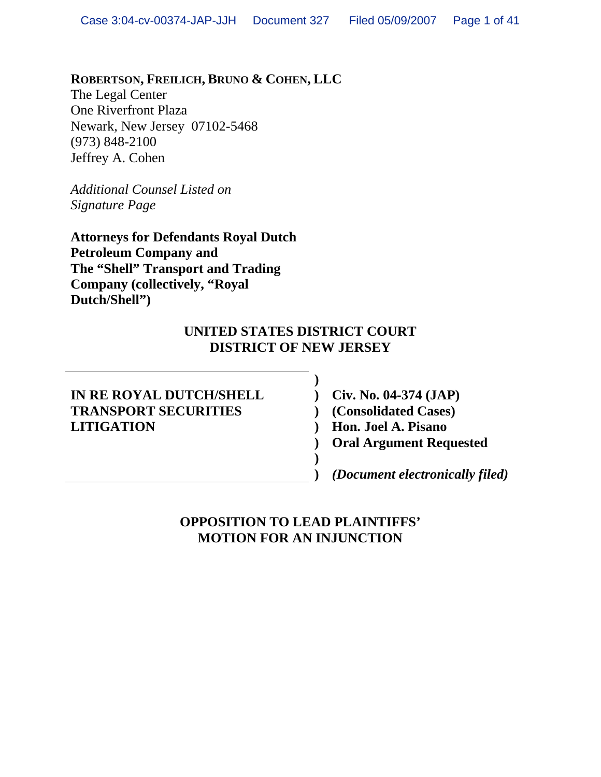### **ROBERTSON, FREILICH, BRUNO & COHEN, LLC**

The Legal Center One Riverfront Plaza Newark, New Jersey 07102-5468 (973) 848-2100 Jeffrey A. Cohen

*Additional Counsel Listed on Signature Page*

**Attorneys for Defendants Royal Dutch Petroleum Company and The "Shell" Transport and Trading Company (collectively, "Royal Dutch/Shell")**

#### **UNITED STATES DISTRICT COURT DISTRICT OF NEW JERSEY**

**)**

**) )** 

#### **IN RE ROYAL DUTCH/SHELL TRANSPORT SECURITIES LITIGATION**

**) Civ. No. 04-374 (JAP) ) (Consolidated Cases) ) Hon. Joel A. Pisano ) Oral Argument Requested** 

*(Document electronically filed)*

**OPPOSITION TO LEAD PLAINTIFFS' MOTION FOR AN INJUNCTION**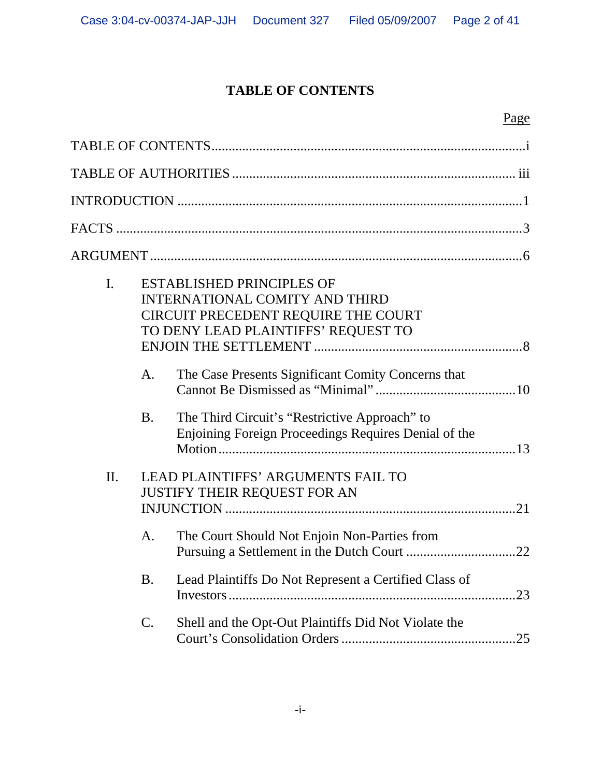## **TABLE OF CONTENTS**

### Page

| $\mathbf{I}$ .  | <b>ESTABLISHED PRINCIPLES OF</b><br><b>INTERNATIONAL COMITY AND THIRD</b><br>CIRCUIT PRECEDENT REQUIRE THE COURT<br>TO DENY LEAD PLAINTIFFS' REQUEST TO |  |  |
|-----------------|---------------------------------------------------------------------------------------------------------------------------------------------------------|--|--|
| A.              | The Case Presents Significant Comity Concerns that                                                                                                      |  |  |
| <b>B.</b>       | The Third Circuit's "Restrictive Approach" to<br>Enjoining Foreign Proceedings Requires Denial of the                                                   |  |  |
| II.             | <b>LEAD PLAINTIFFS' ARGUMENTS FAIL TO</b><br><b>JUSTIFY THEIR REQUEST FOR AN</b>                                                                        |  |  |
| A.              | The Court Should Not Enjoin Non-Parties from                                                                                                            |  |  |
| <b>B.</b>       | Lead Plaintiffs Do Not Represent a Certified Class of<br>.23                                                                                            |  |  |
| $\mathcal{C}$ . | Shell and the Opt-Out Plaintiffs Did Not Violate the<br>.25                                                                                             |  |  |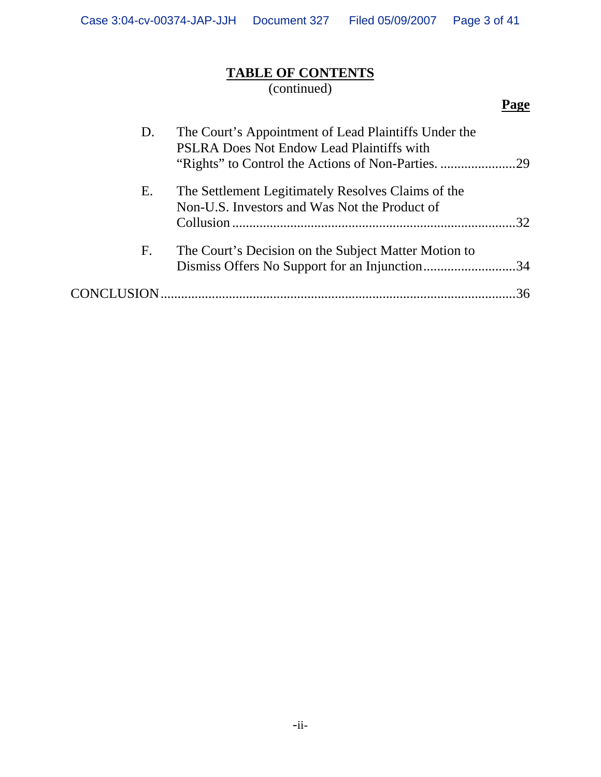## **TABLE OF CONTENTS**

(continued)

# **Page**

| D. | The Court's Appointment of Lead Plaintiffs Under the<br>PSLRA Does Not Endow Lead Plaintiffs with     |    |
|----|-------------------------------------------------------------------------------------------------------|----|
| Ε. | The Settlement Legitimately Resolves Claims of the<br>Non-U.S. Investors and Was Not the Product of   | 32 |
| F. | The Court's Decision on the Subject Matter Motion to<br>Dismiss Offers No Support for an Injunction34 |    |
|    |                                                                                                       |    |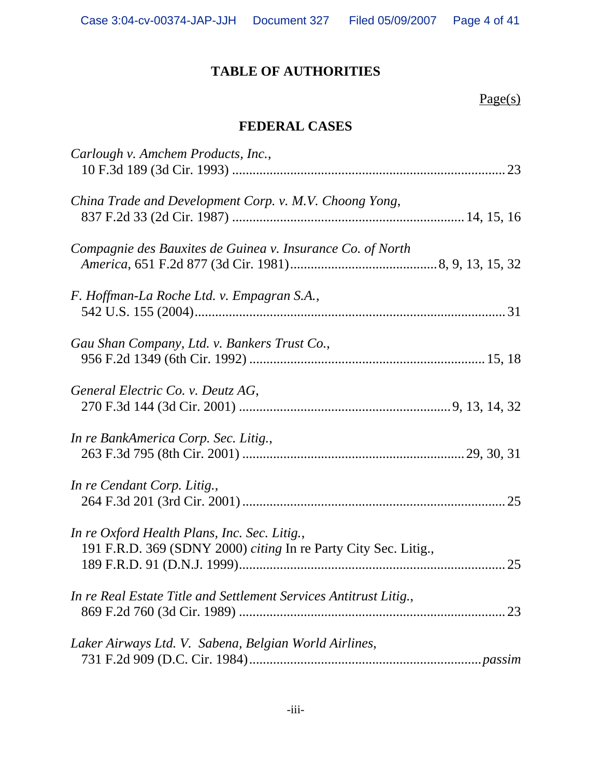## **TABLE OF AUTHORITIES**

 $Page(s)$ 

## **FEDERAL CASES**

| Carlough v. Amchem Products, Inc.,                                                                              |    |
|-----------------------------------------------------------------------------------------------------------------|----|
| China Trade and Development Corp. v. M.V. Choong Yong,                                                          |    |
| Compagnie des Bauxites de Guinea v. Insurance Co. of North                                                      |    |
| F. Hoffman-La Roche Ltd. v. Empagran S.A.,                                                                      |    |
| Gau Shan Company, Ltd. v. Bankers Trust Co.,                                                                    |    |
| General Electric Co. v. Deutz AG,                                                                               |    |
| In re BankAmerica Corp. Sec. Litig.,                                                                            |    |
| In re Cendant Corp. Litig.,                                                                                     |    |
| In re Oxford Health Plans, Inc. Sec. Litig.,<br>191 F.R.D. 369 (SDNY 2000) citing In re Party City Sec. Litig., | 25 |
| In re Real Estate Title and Settlement Services Antitrust Litig.,                                               |    |
| Laker Airways Ltd. V. Sabena, Belgian World Airlines,                                                           |    |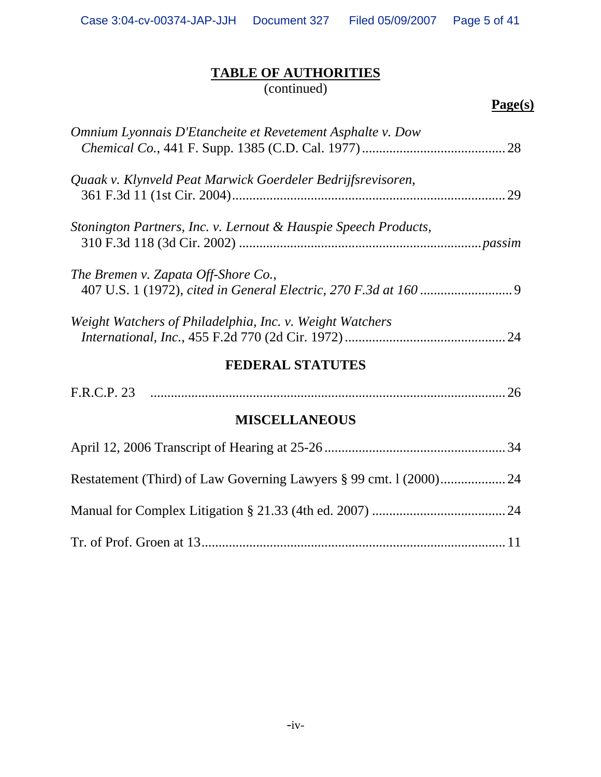## **TABLE OF AUTHORITIES**

(continued)

| Omnium Lyonnais D'Etancheite et Revetement Asphalte v. Dow      |  |
|-----------------------------------------------------------------|--|
| Quaak v. Klynveld Peat Marwick Goerdeler Bedrijfsrevisoren,     |  |
| Stonington Partners, Inc. v. Lernout & Hauspie Speech Products, |  |
| The Bremen v. Zapata Off-Shore Co.,                             |  |
| Weight Watchers of Philadelphia, Inc. v. Weight Watchers        |  |
| <b>FEDERAL STATUTES</b>                                         |  |
|                                                                 |  |
| <b>MISCELLANEOUS</b>                                            |  |
|                                                                 |  |
|                                                                 |  |
|                                                                 |  |
|                                                                 |  |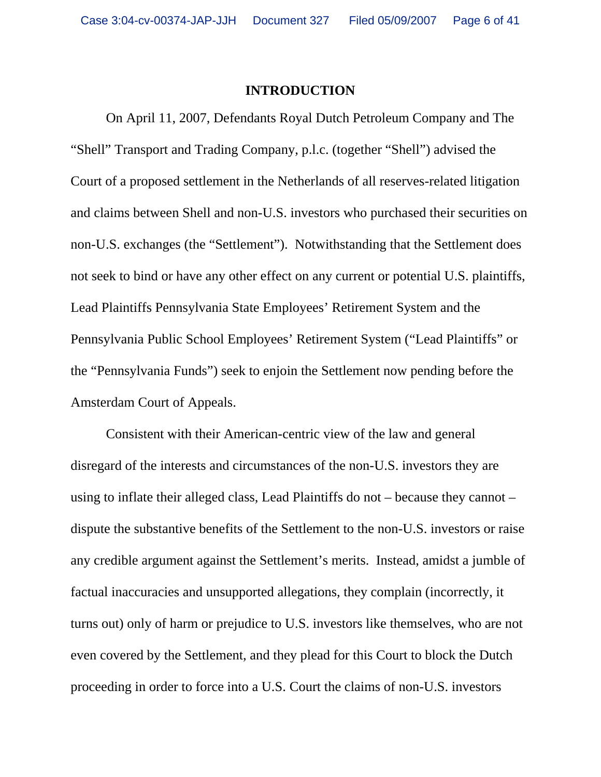#### **INTRODUCTION**

On April 11, 2007, Defendants Royal Dutch Petroleum Company and The "Shell" Transport and Trading Company, p.l.c. (together "Shell") advised the Court of a proposed settlement in the Netherlands of all reserves-related litigation and claims between Shell and non-U.S. investors who purchased their securities on non-U.S. exchanges (the "Settlement"). Notwithstanding that the Settlement does not seek to bind or have any other effect on any current or potential U.S. plaintiffs, Lead Plaintiffs Pennsylvania State Employees' Retirement System and the Pennsylvania Public School Employees' Retirement System ("Lead Plaintiffs" or the "Pennsylvania Funds") seek to enjoin the Settlement now pending before the Amsterdam Court of Appeals.

Consistent with their American-centric view of the law and general disregard of the interests and circumstances of the non-U.S. investors they are using to inflate their alleged class, Lead Plaintiffs do not – because they cannot – dispute the substantive benefits of the Settlement to the non-U.S. investors or raise any credible argument against the Settlement's merits. Instead, amidst a jumble of factual inaccuracies and unsupported allegations, they complain (incorrectly, it turns out) only of harm or prejudice to U.S. investors like themselves, who are not even covered by the Settlement, and they plead for this Court to block the Dutch proceeding in order to force into a U.S. Court the claims of non-U.S. investors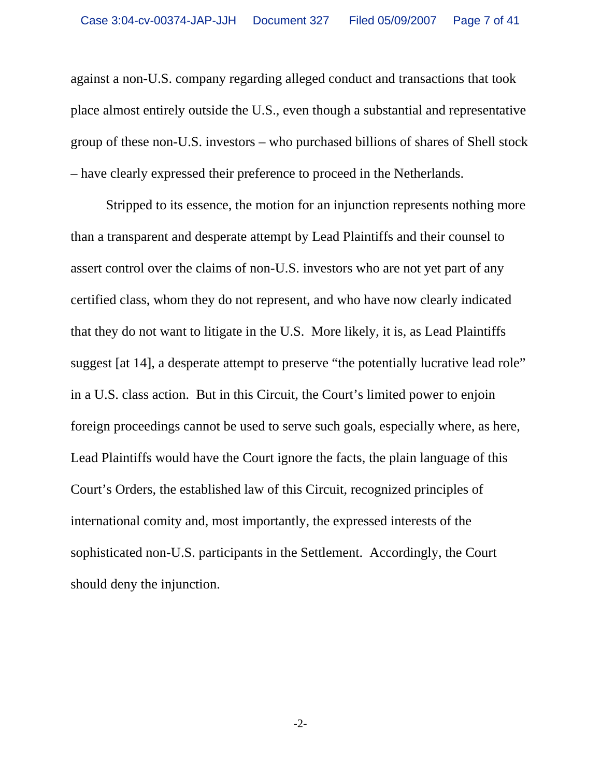against a non-U.S. company regarding alleged conduct and transactions that took place almost entirely outside the U.S., even though a substantial and representative group of these non-U.S. investors – who purchased billions of shares of Shell stock – have clearly expressed their preference to proceed in the Netherlands.

Stripped to its essence, the motion for an injunction represents nothing more than a transparent and desperate attempt by Lead Plaintiffs and their counsel to assert control over the claims of non-U.S. investors who are not yet part of any certified class, whom they do not represent, and who have now clearly indicated that they do not want to litigate in the U.S. More likely, it is, as Lead Plaintiffs suggest [at 14], a desperate attempt to preserve "the potentially lucrative lead role" in a U.S. class action. But in this Circuit, the Court's limited power to enjoin foreign proceedings cannot be used to serve such goals, especially where, as here, Lead Plaintiffs would have the Court ignore the facts, the plain language of this Court's Orders, the established law of this Circuit, recognized principles of international comity and, most importantly, the expressed interests of the sophisticated non-U.S. participants in the Settlement. Accordingly, the Court should deny the injunction.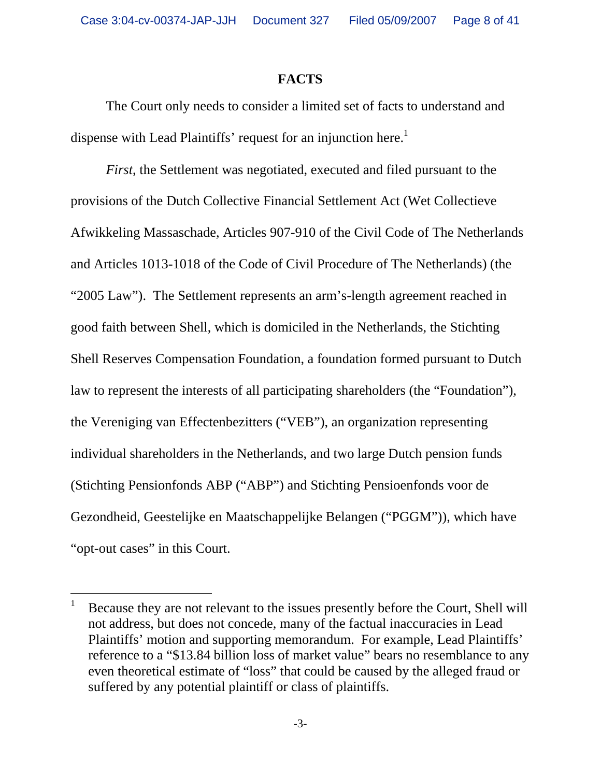#### **FACTS**

The Court only needs to consider a limited set of facts to understand and dispense with Lead Plaintiffs' request for an injunction here.<sup>1</sup>

*First*, the Settlement was negotiated, executed and filed pursuant to the provisions of the Dutch Collective Financial Settlement Act (Wet Collectieve Afwikkeling Massaschade, Articles 907-910 of the Civil Code of The Netherlands and Articles 1013-1018 of the Code of Civil Procedure of The Netherlands) (the "2005 Law"). The Settlement represents an arm's-length agreement reached in good faith between Shell, which is domiciled in the Netherlands, the Stichting Shell Reserves Compensation Foundation, a foundation formed pursuant to Dutch law to represent the interests of all participating shareholders (the "Foundation"), the Vereniging van Effectenbezitters ("VEB"), an organization representing individual shareholders in the Netherlands, and two large Dutch pension funds (Stichting Pensionfonds ABP ("ABP") and Stichting Pensioenfonds voor de Gezondheid, Geestelijke en Maatschappelijke Belangen ("PGGM")), which have "opt-out cases" in this Court.

l

<sup>1</sup> Because they are not relevant to the issues presently before the Court, Shell will not address, but does not concede, many of the factual inaccuracies in Lead Plaintiffs' motion and supporting memorandum. For example, Lead Plaintiffs' reference to a "\$13.84 billion loss of market value" bears no resemblance to any even theoretical estimate of "loss" that could be caused by the alleged fraud or suffered by any potential plaintiff or class of plaintiffs.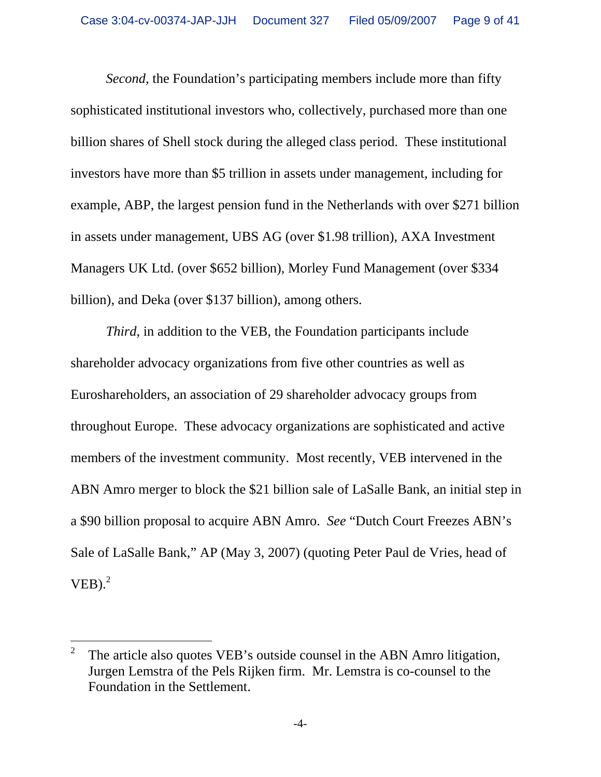*Second*, the Foundation's participating members include more than fifty sophisticated institutional investors who, collectively, purchased more than one billion shares of Shell stock during the alleged class period. These institutional investors have more than \$5 trillion in assets under management, including for example, ABP, the largest pension fund in the Netherlands with over \$271 billion in assets under management, UBS AG (over \$1.98 trillion), AXA Investment Managers UK Ltd. (over \$652 billion), Morley Fund Management (over \$334 billion), and Deka (over \$137 billion), among others.

*Third*, in addition to the VEB, the Foundation participants include shareholder advocacy organizations from five other countries as well as Euroshareholders, an association of 29 shareholder advocacy groups from throughout Europe. These advocacy organizations are sophisticated and active members of the investment community. Most recently, VEB intervened in the ABN Amro merger to block the \$21 billion sale of LaSalle Bank, an initial step in a \$90 billion proposal to acquire ABN Amro. *See* "Dutch Court Freezes ABN's Sale of LaSalle Bank," AP (May 3, 2007) (quoting Peter Paul de Vries, head of  $VEB$ ).<sup>2</sup>

-

<sup>2</sup> The article also quotes VEB's outside counsel in the ABN Amro litigation, Jurgen Lemstra of the Pels Rijken firm. Mr. Lemstra is co-counsel to the Foundation in the Settlement.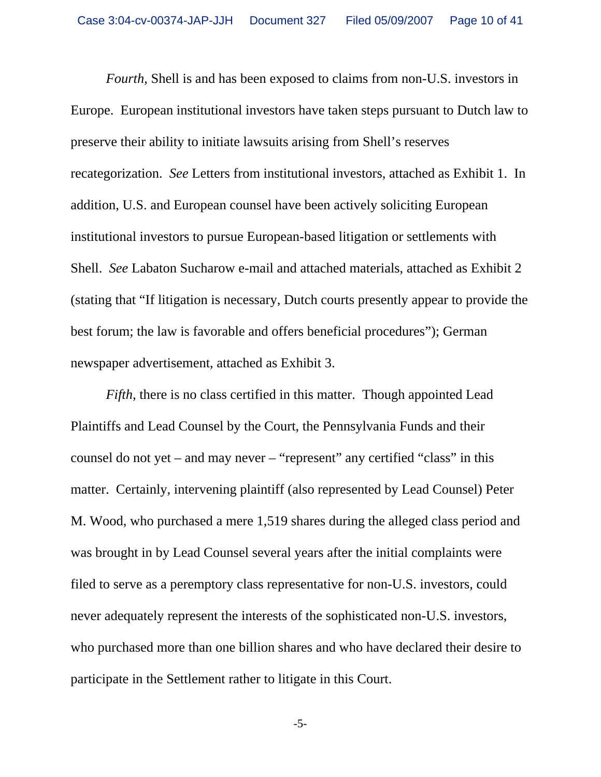*Fourth*, Shell is and has been exposed to claims from non-U.S. investors in Europe. European institutional investors have taken steps pursuant to Dutch law to preserve their ability to initiate lawsuits arising from Shell's reserves recategorization. *See* Letters from institutional investors, attached as Exhibit 1. In addition, U.S. and European counsel have been actively soliciting European institutional investors to pursue European-based litigation or settlements with Shell. *See* Labaton Sucharow e-mail and attached materials, attached as Exhibit 2 (stating that "If litigation is necessary, Dutch courts presently appear to provide the best forum; the law is favorable and offers beneficial procedures"); German newspaper advertisement, attached as Exhibit 3.

*Fifth*, there is no class certified in this matter. Though appointed Lead Plaintiffs and Lead Counsel by the Court, the Pennsylvania Funds and their counsel do not yet – and may never – "represent" any certified "class" in this matter. Certainly, intervening plaintiff (also represented by Lead Counsel) Peter M. Wood, who purchased a mere 1,519 shares during the alleged class period and was brought in by Lead Counsel several years after the initial complaints were filed to serve as a peremptory class representative for non-U.S. investors, could never adequately represent the interests of the sophisticated non-U.S. investors, who purchased more than one billion shares and who have declared their desire to participate in the Settlement rather to litigate in this Court.

-5-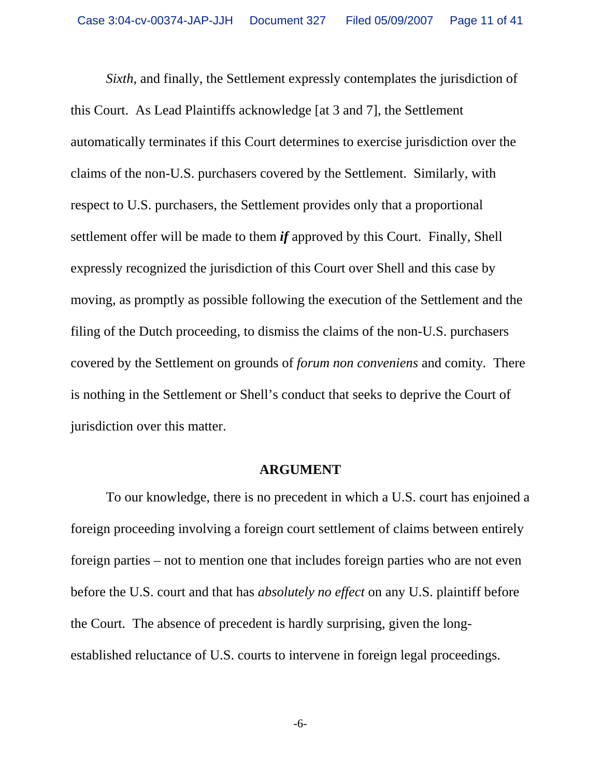*Sixth*, and finally, the Settlement expressly contemplates the jurisdiction of this Court. As Lead Plaintiffs acknowledge [at 3 and 7], the Settlement automatically terminates if this Court determines to exercise jurisdiction over the claims of the non-U.S. purchasers covered by the Settlement. Similarly, with respect to U.S. purchasers, the Settlement provides only that a proportional settlement offer will be made to them *if* approved by this Court. Finally, Shell expressly recognized the jurisdiction of this Court over Shell and this case by moving, as promptly as possible following the execution of the Settlement and the filing of the Dutch proceeding, to dismiss the claims of the non-U.S. purchasers covered by the Settlement on grounds of *forum non conveniens* and comity*.* There is nothing in the Settlement or Shell's conduct that seeks to deprive the Court of jurisdiction over this matter.

#### **ARGUMENT**

To our knowledge, there is no precedent in which a U.S. court has enjoined a foreign proceeding involving a foreign court settlement of claims between entirely foreign parties – not to mention one that includes foreign parties who are not even before the U.S. court and that has *absolutely no effect* on any U.S. plaintiff before the Court. The absence of precedent is hardly surprising, given the longestablished reluctance of U.S. courts to intervene in foreign legal proceedings.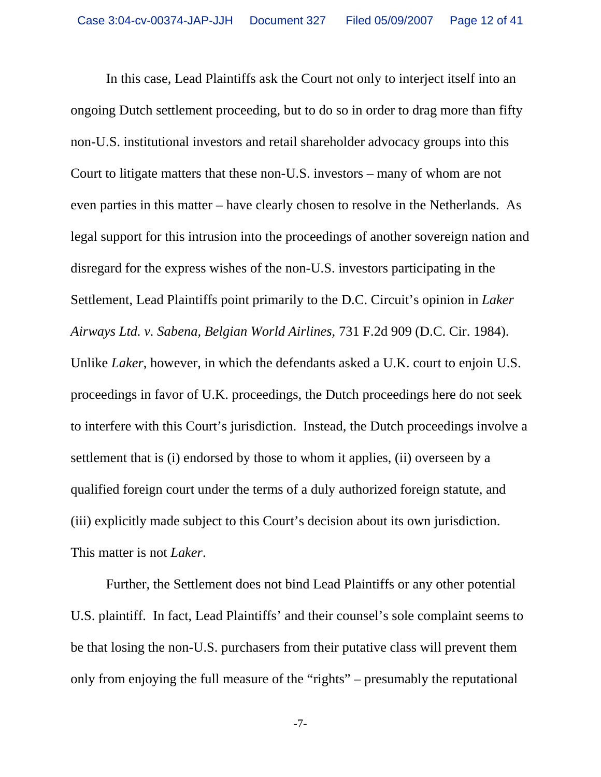In this case, Lead Plaintiffs ask the Court not only to interject itself into an ongoing Dutch settlement proceeding, but to do so in order to drag more than fifty non-U.S. institutional investors and retail shareholder advocacy groups into this Court to litigate matters that these non-U.S. investors – many of whom are not even parties in this matter – have clearly chosen to resolve in the Netherlands. As legal support for this intrusion into the proceedings of another sovereign nation and disregard for the express wishes of the non-U.S. investors participating in the Settlement, Lead Plaintiffs point primarily to the D.C. Circuit's opinion in *Laker Airways Ltd. v. Sabena, Belgian World Airlines,* 731 F.2d 909 (D.C. Cir. 1984). Unlike *Laker*, however, in which the defendants asked a U.K. court to enjoin U.S. proceedings in favor of U.K. proceedings, the Dutch proceedings here do not seek to interfere with this Court's jurisdiction. Instead, the Dutch proceedings involve a settlement that is (i) endorsed by those to whom it applies, (ii) overseen by a qualified foreign court under the terms of a duly authorized foreign statute, and (iii) explicitly made subject to this Court's decision about its own jurisdiction. This matter is not *Laker*.

Further, the Settlement does not bind Lead Plaintiffs or any other potential U.S. plaintiff. In fact, Lead Plaintiffs' and their counsel's sole complaint seems to be that losing the non-U.S. purchasers from their putative class will prevent them only from enjoying the full measure of the "rights" – presumably the reputational

-7-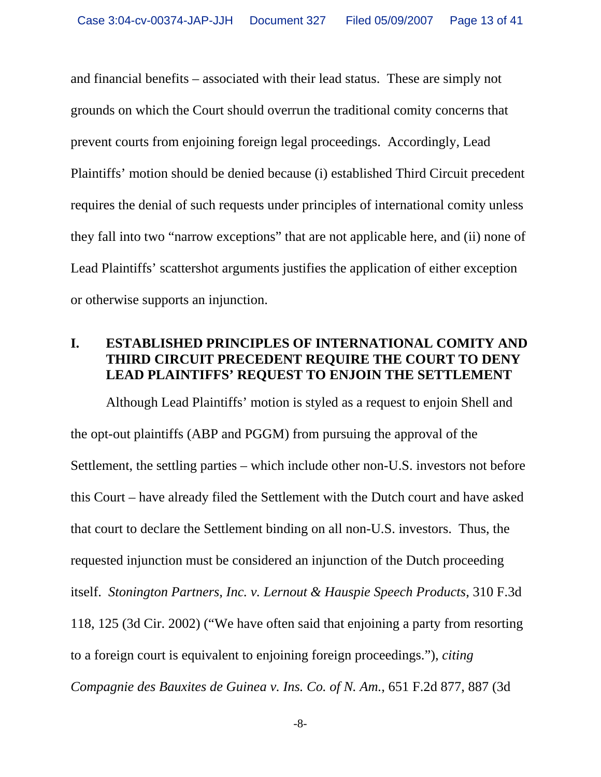and financial benefits – associated with their lead status. These are simply not grounds on which the Court should overrun the traditional comity concerns that prevent courts from enjoining foreign legal proceedings. Accordingly, Lead Plaintiffs' motion should be denied because (i) established Third Circuit precedent requires the denial of such requests under principles of international comity unless they fall into two "narrow exceptions" that are not applicable here, and (ii) none of Lead Plaintiffs' scattershot arguments justifies the application of either exception or otherwise supports an injunction.

### **I. ESTABLISHED PRINCIPLES OF INTERNATIONAL COMITY AND THIRD CIRCUIT PRECEDENT REQUIRE THE COURT TO DENY LEAD PLAINTIFFS' REQUEST TO ENJOIN THE SETTLEMENT**

Although Lead Plaintiffs' motion is styled as a request to enjoin Shell and the opt-out plaintiffs (ABP and PGGM) from pursuing the approval of the Settlement, the settling parties – which include other non-U.S. investors not before this Court – have already filed the Settlement with the Dutch court and have asked that court to declare the Settlement binding on all non-U.S. investors. Thus, the requested injunction must be considered an injunction of the Dutch proceeding itself. *Stonington Partners, Inc. v. Lernout & Hauspie Speech Products*, 310 F.3d 118, 125 (3d Cir. 2002) ("We have often said that enjoining a party from resorting to a foreign court is equivalent to enjoining foreign proceedings."), *citing Compagnie des Bauxites de Guinea v. Ins. Co. of N. Am.*, 651 F.2d 877, 887 (3d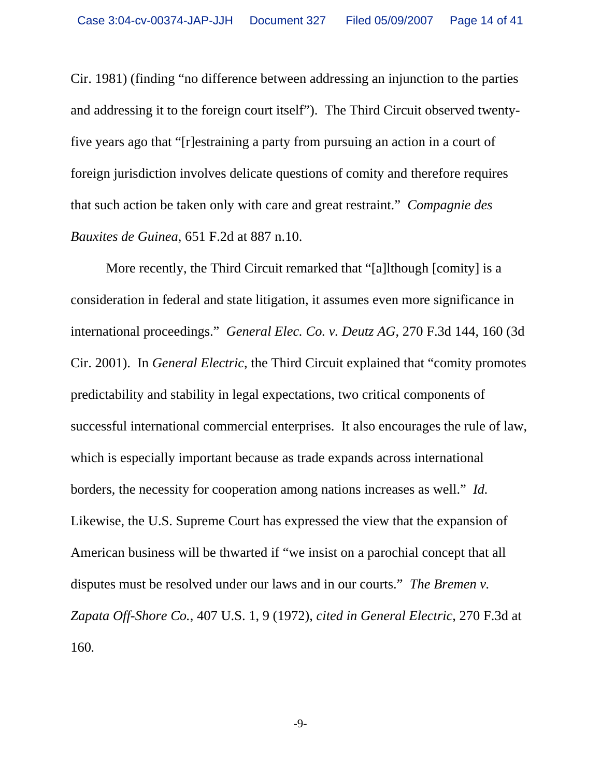Cir. 1981) (finding "no difference between addressing an injunction to the parties and addressing it to the foreign court itself"). The Third Circuit observed twentyfive years ago that "[r]estraining a party from pursuing an action in a court of foreign jurisdiction involves delicate questions of comity and therefore requires that such action be taken only with care and great restraint." *Compagnie des Bauxites de Guinea*, 651 F.2d at 887 n.10.

More recently, the Third Circuit remarked that "[a]lthough [comity] is a consideration in federal and state litigation, it assumes even more significance in international proceedings." *General Elec. Co. v. Deutz AG*, 270 F.3d 144, 160 (3d Cir. 2001). In *General Electric*, the Third Circuit explained that "comity promotes predictability and stability in legal expectations, two critical components of successful international commercial enterprises. It also encourages the rule of law, which is especially important because as trade expands across international borders, the necessity for cooperation among nations increases as well." *Id.* Likewise, the U.S. Supreme Court has expressed the view that the expansion of American business will be thwarted if "we insist on a parochial concept that all disputes must be resolved under our laws and in our courts." *The Bremen v. Zapata Off-Shore Co.*, 407 U.S. 1, 9 (1972), *cited in General Electric*, 270 F.3d at 160*.*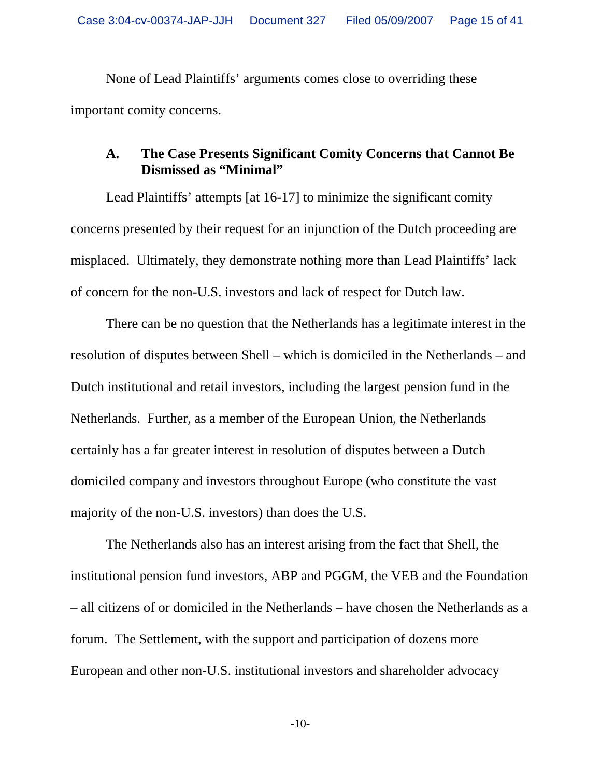None of Lead Plaintiffs' arguments comes close to overriding these important comity concerns.

#### **A. The Case Presents Significant Comity Concerns that Cannot Be Dismissed as "Minimal"**

Lead Plaintiffs' attempts [at 16-17] to minimize the significant comity concerns presented by their request for an injunction of the Dutch proceeding are misplaced. Ultimately, they demonstrate nothing more than Lead Plaintiffs' lack of concern for the non-U.S. investors and lack of respect for Dutch law.

There can be no question that the Netherlands has a legitimate interest in the resolution of disputes between Shell – which is domiciled in the Netherlands – and Dutch institutional and retail investors, including the largest pension fund in the Netherlands. Further, as a member of the European Union, the Netherlands certainly has a far greater interest in resolution of disputes between a Dutch domiciled company and investors throughout Europe (who constitute the vast majority of the non-U.S. investors) than does the U.S.

The Netherlands also has an interest arising from the fact that Shell, the institutional pension fund investors, ABP and PGGM, the VEB and the Foundation – all citizens of or domiciled in the Netherlands – have chosen the Netherlands as a forum. The Settlement, with the support and participation of dozens more European and other non-U.S. institutional investors and shareholder advocacy

-10-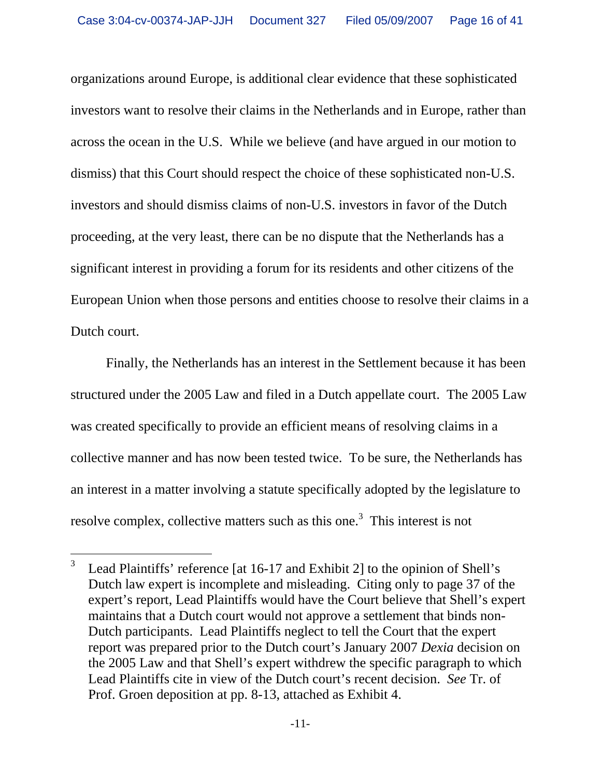organizations around Europe, is additional clear evidence that these sophisticated investors want to resolve their claims in the Netherlands and in Europe, rather than across the ocean in the U.S. While we believe (and have argued in our motion to dismiss) that this Court should respect the choice of these sophisticated non-U.S. investors and should dismiss claims of non-U.S. investors in favor of the Dutch proceeding, at the very least, there can be no dispute that the Netherlands has a significant interest in providing a forum for its residents and other citizens of the European Union when those persons and entities choose to resolve their claims in a Dutch court.

Finally, the Netherlands has an interest in the Settlement because it has been structured under the 2005 Law and filed in a Dutch appellate court. The 2005 Law was created specifically to provide an efficient means of resolving claims in a collective manner and has now been tested twice. To be sure, the Netherlands has an interest in a matter involving a statute specifically adopted by the legislature to resolve complex, collective matters such as this one.<sup>3</sup> This interest is not

 $\overline{a}$ 

<sup>3</sup> Lead Plaintiffs' reference [at 16-17 and Exhibit 2] to the opinion of Shell's Dutch law expert is incomplete and misleading. Citing only to page 37 of the expert's report, Lead Plaintiffs would have the Court believe that Shell's expert maintains that a Dutch court would not approve a settlement that binds non-Dutch participants. Lead Plaintiffs neglect to tell the Court that the expert report was prepared prior to the Dutch court's January 2007 *Dexia* decision on the 2005 Law and that Shell's expert withdrew the specific paragraph to which Lead Plaintiffs cite in view of the Dutch court's recent decision. *See* Tr. of Prof. Groen deposition at pp. 8-13, attached as Exhibit 4.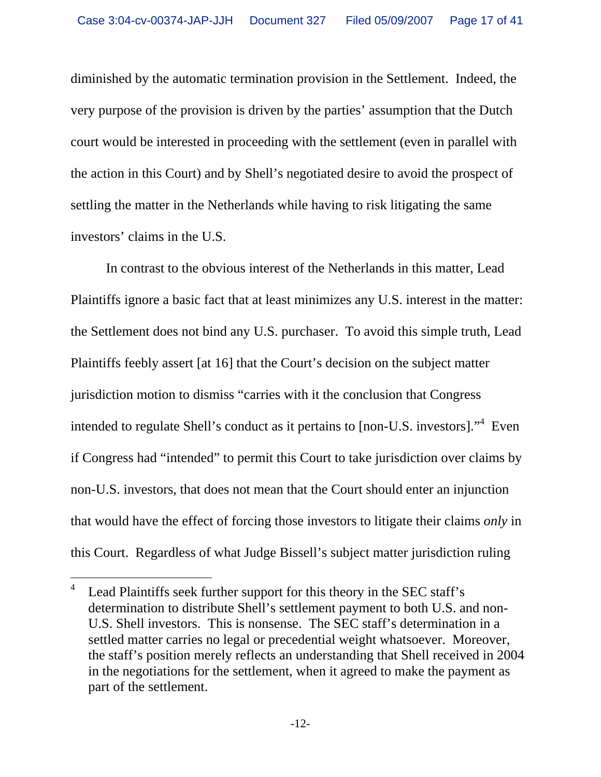diminished by the automatic termination provision in the Settlement. Indeed, the very purpose of the provision is driven by the parties' assumption that the Dutch court would be interested in proceeding with the settlement (even in parallel with the action in this Court) and by Shell's negotiated desire to avoid the prospect of settling the matter in the Netherlands while having to risk litigating the same investors' claims in the U.S.

In contrast to the obvious interest of the Netherlands in this matter, Lead Plaintiffs ignore a basic fact that at least minimizes any U.S. interest in the matter: the Settlement does not bind any U.S. purchaser. To avoid this simple truth, Lead Plaintiffs feebly assert [at 16] that the Court's decision on the subject matter jurisdiction motion to dismiss "carries with it the conclusion that Congress intended to regulate Shell's conduct as it pertains to [non-U.S. investors]."<sup>4</sup> Even if Congress had "intended" to permit this Court to take jurisdiction over claims by non-U.S. investors, that does not mean that the Court should enter an injunction that would have the effect of forcing those investors to litigate their claims *only* in this Court. Regardless of what Judge Bissell's subject matter jurisdiction ruling

<sup>-</sup>4 Lead Plaintiffs seek further support for this theory in the SEC staff's determination to distribute Shell's settlement payment to both U.S. and non-U.S. Shell investors. This is nonsense. The SEC staff's determination in a settled matter carries no legal or precedential weight whatsoever. Moreover, the staff's position merely reflects an understanding that Shell received in 2004 in the negotiations for the settlement, when it agreed to make the payment as part of the settlement.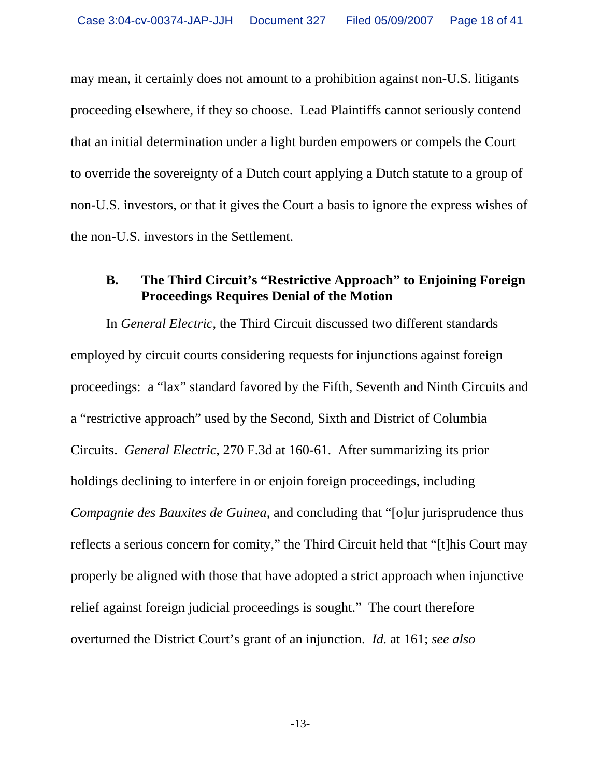may mean, it certainly does not amount to a prohibition against non-U.S. litigants proceeding elsewhere, if they so choose. Lead Plaintiffs cannot seriously contend that an initial determination under a light burden empowers or compels the Court to override the sovereignty of a Dutch court applying a Dutch statute to a group of non-U.S. investors, or that it gives the Court a basis to ignore the express wishes of the non-U.S. investors in the Settlement.

#### **B. The Third Circuit's "Restrictive Approach" to Enjoining Foreign Proceedings Requires Denial of the Motion**

In *General Electric*, the Third Circuit discussed two different standards employed by circuit courts considering requests for injunctions against foreign proceedings: a "lax" standard favored by the Fifth, Seventh and Ninth Circuits and a "restrictive approach" used by the Second, Sixth and District of Columbia Circuits. *General Electric*, 270 F.3d at 160-61. After summarizing its prior holdings declining to interfere in or enjoin foreign proceedings, including *Compagnie des Bauxites de Guinea*, and concluding that "[o]ur jurisprudence thus reflects a serious concern for comity," the Third Circuit held that "[t]his Court may properly be aligned with those that have adopted a strict approach when injunctive relief against foreign judicial proceedings is sought." The court therefore overturned the District Court's grant of an injunction. *Id.* at 161; *see also*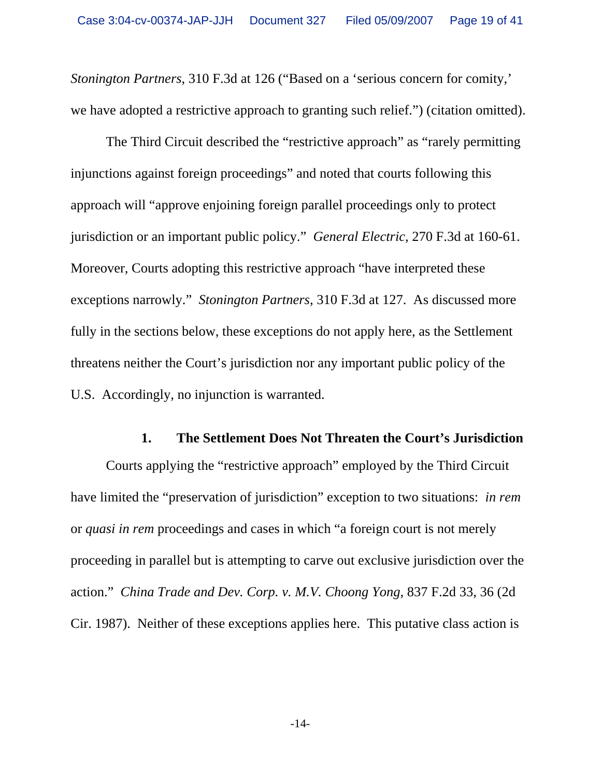*Stonington Partners*, 310 F.3d at 126 ("Based on a 'serious concern for comity,' we have adopted a restrictive approach to granting such relief.") (citation omitted).

The Third Circuit described the "restrictive approach" as "rarely permitting injunctions against foreign proceedings" and noted that courts following this approach will "approve enjoining foreign parallel proceedings only to protect jurisdiction or an important public policy." *General Electric*, 270 F.3d at 160-61. Moreover, Courts adopting this restrictive approach "have interpreted these exceptions narrowly." *Stonington Partners*, 310 F.3d at 127. As discussed more fully in the sections below, these exceptions do not apply here, as the Settlement threatens neither the Court's jurisdiction nor any important public policy of the U.S. Accordingly, no injunction is warranted.

#### **1. The Settlement Does Not Threaten the Court's Jurisdiction**

Courts applying the "restrictive approach" employed by the Third Circuit have limited the "preservation of jurisdiction" exception to two situations: *in rem*  or *quasi in rem* proceedings and cases in which "a foreign court is not merely proceeding in parallel but is attempting to carve out exclusive jurisdiction over the action." *China Trade and Dev. Corp. v. M.V. Choong Yong*, 837 F.2d 33, 36 (2d Cir. 1987). Neither of these exceptions applies here. This putative class action is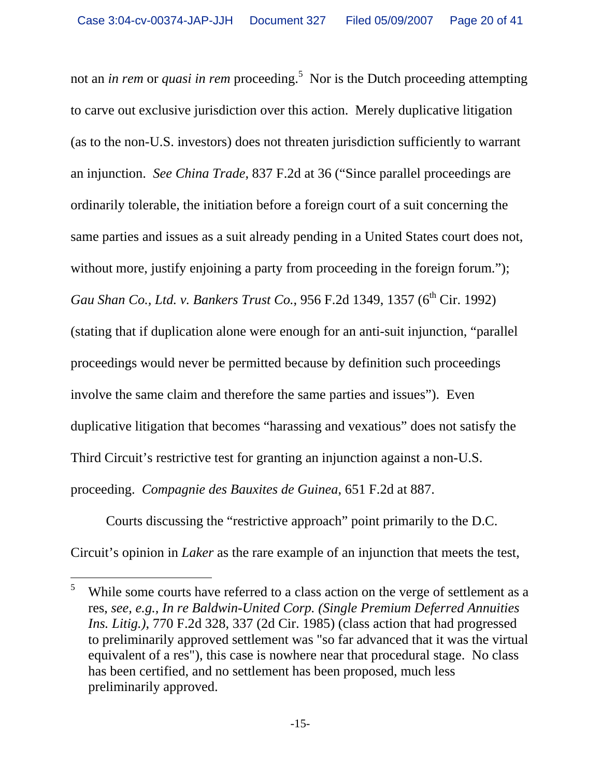not an *in rem* or *quasi in rem* proceeding.<sup>5</sup> Nor is the Dutch proceeding attempting to carve out exclusive jurisdiction over this action. Merely duplicative litigation (as to the non-U.S. investors) does not threaten jurisdiction sufficiently to warrant an injunction. *See China Trade*, 837 F.2d at 36 ("Since parallel proceedings are ordinarily tolerable, the initiation before a foreign court of a suit concerning the same parties and issues as a suit already pending in a United States court does not, without more, justify enjoining a party from proceeding in the foreign forum."); *Gau Shan Co., Ltd. v. Bankers Trust Co., 956 F.2d 1349, 1357 (6<sup>th</sup> Cir. 1992)* (stating that if duplication alone were enough for an anti-suit injunction, "parallel proceedings would never be permitted because by definition such proceedings involve the same claim and therefore the same parties and issues"). Even duplicative litigation that becomes "harassing and vexatious" does not satisfy the Third Circuit's restrictive test for granting an injunction against a non-U.S. proceeding. *Compagnie des Bauxites de Guinea*, 651 F.2d at 887.

Courts discussing the "restrictive approach" point primarily to the D.C. Circuit's opinion in *Laker* as the rare example of an injunction that meets the test,

<sup>-</sup>5 While some courts have referred to a class action on the verge of settlement as a res, *see, e.g., In re Baldwin-United Corp. (Single Premium Deferred Annuities Ins. Litig.)*, 770 F.2d 328, 337 (2d Cir. 1985) (class action that had progressed to preliminarily approved settlement was "so far advanced that it was the virtual equivalent of a res"), this case is nowhere near that procedural stage. No class has been certified, and no settlement has been proposed, much less preliminarily approved.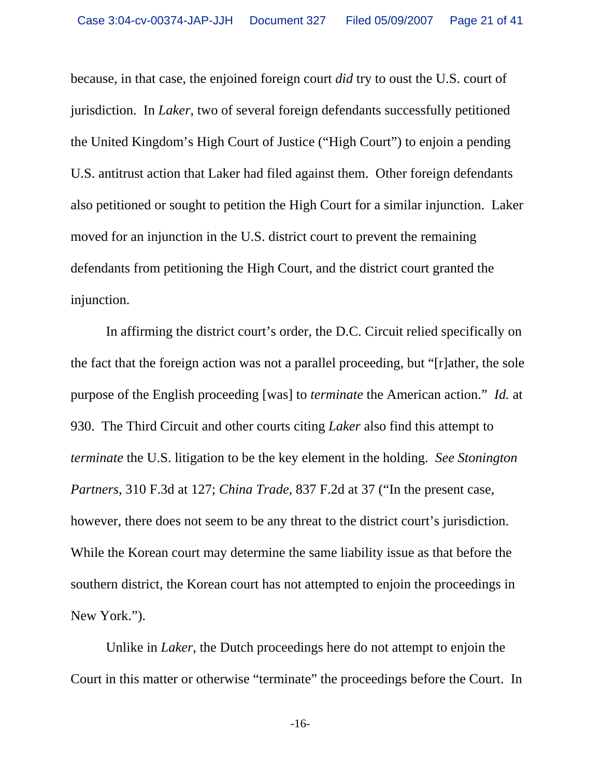because, in that case, the enjoined foreign court *did* try to oust the U.S. court of jurisdiction. In *Laker*, two of several foreign defendants successfully petitioned the United Kingdom's High Court of Justice ("High Court") to enjoin a pending U.S. antitrust action that Laker had filed against them. Other foreign defendants also petitioned or sought to petition the High Court for a similar injunction. Laker moved for an injunction in the U.S. district court to prevent the remaining defendants from petitioning the High Court, and the district court granted the injunction.

In affirming the district court's order, the D.C. Circuit relied specifically on the fact that the foreign action was not a parallel proceeding, but "[r]ather, the sole purpose of the English proceeding [was] to *terminate* the American action." *Id.* at 930. The Third Circuit and other courts citing *Laker* also find this attempt to *terminate* the U.S. litigation to be the key element in the holding. *See Stonington Partners*, 310 F.3d at 127; *China Trade*, 837 F.2d at 37 ("In the present case, however, there does not seem to be any threat to the district court's jurisdiction. While the Korean court may determine the same liability issue as that before the southern district, the Korean court has not attempted to enjoin the proceedings in New York.").

 Unlike in *Laker*, the Dutch proceedings here do not attempt to enjoin the Court in this matter or otherwise "terminate" the proceedings before the Court. In

-16-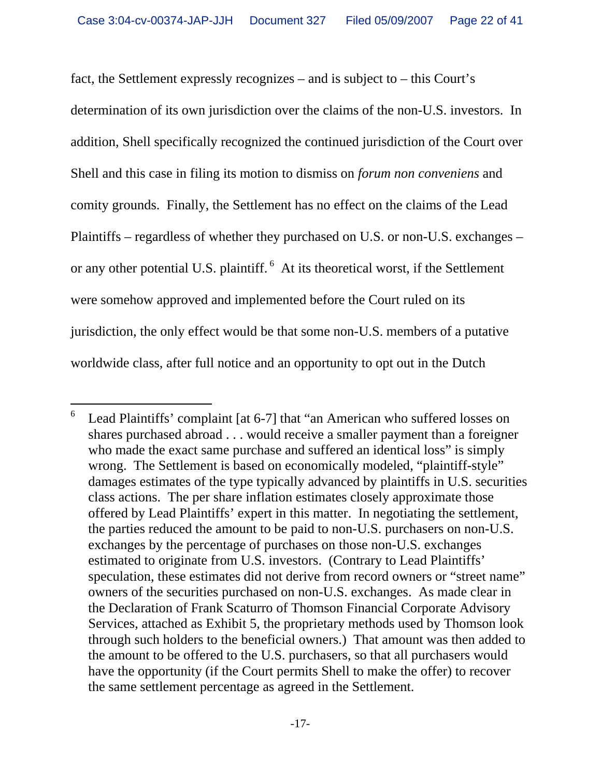fact, the Settlement expressly recognizes – and is subject to – this Court's determination of its own jurisdiction over the claims of the non-U.S. investors. In addition, Shell specifically recognized the continued jurisdiction of the Court over Shell and this case in filing its motion to dismiss on *forum non conveniens* and comity grounds. Finally, the Settlement has no effect on the claims of the Lead Plaintiffs – regardless of whether they purchased on U.S. or non-U.S. exchanges – or any other potential U.S. plaintiff. 6 At its theoretical worst, if the Settlement were somehow approved and implemented before the Court ruled on its jurisdiction, the only effect would be that some non-U.S. members of a putative worldwide class, after full notice and an opportunity to opt out in the Dutch

 $\overline{a}$ 

<sup>6</sup> Lead Plaintiffs' complaint [at 6-7] that "an American who suffered losses on shares purchased abroad . . . would receive a smaller payment than a foreigner who made the exact same purchase and suffered an identical loss" is simply wrong. The Settlement is based on economically modeled, "plaintiff-style" damages estimates of the type typically advanced by plaintiffs in U.S. securities class actions. The per share inflation estimates closely approximate those offered by Lead Plaintiffs' expert in this matter. In negotiating the settlement, the parties reduced the amount to be paid to non-U.S. purchasers on non-U.S. exchanges by the percentage of purchases on those non-U.S. exchanges estimated to originate from U.S. investors. (Contrary to Lead Plaintiffs' speculation, these estimates did not derive from record owners or "street name" owners of the securities purchased on non-U.S. exchanges. As made clear in the Declaration of Frank Scaturro of Thomson Financial Corporate Advisory Services, attached as Exhibit 5, the proprietary methods used by Thomson look through such holders to the beneficial owners.) That amount was then added to the amount to be offered to the U.S. purchasers, so that all purchasers would have the opportunity (if the Court permits Shell to make the offer) to recover the same settlement percentage as agreed in the Settlement.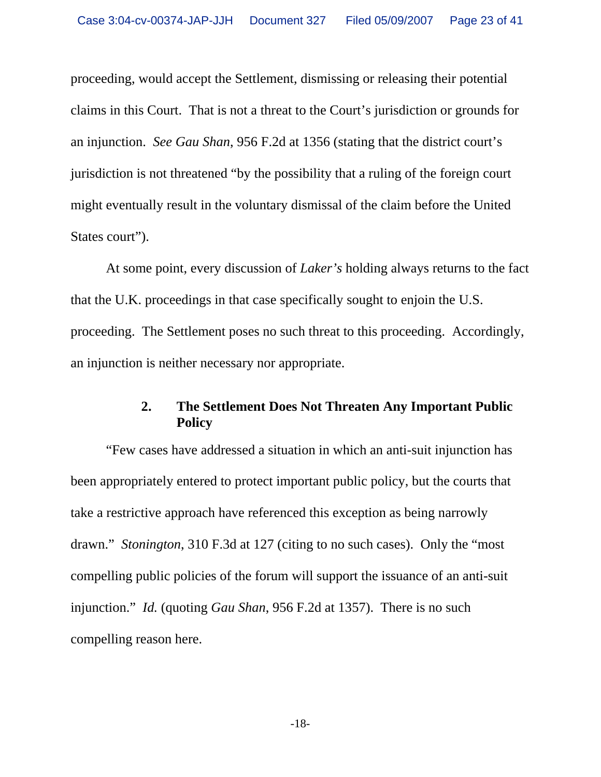proceeding, would accept the Settlement, dismissing or releasing their potential claims in this Court. That is not a threat to the Court's jurisdiction or grounds for an injunction. *See Gau Shan*, 956 F.2d at 1356 (stating that the district court's jurisdiction is not threatened "by the possibility that a ruling of the foreign court might eventually result in the voluntary dismissal of the claim before the United States court").

 At some point, every discussion of *Laker's* holding always returns to the fact that the U.K. proceedings in that case specifically sought to enjoin the U.S. proceeding. The Settlement poses no such threat to this proceeding. Accordingly, an injunction is neither necessary nor appropriate.

#### **2. The Settlement Does Not Threaten Any Important Public Policy**

"Few cases have addressed a situation in which an anti-suit injunction has been appropriately entered to protect important public policy, but the courts that take a restrictive approach have referenced this exception as being narrowly drawn." *Stonington*, 310 F.3d at 127 (citing to no such cases). Only the "most compelling public policies of the forum will support the issuance of an anti-suit injunction." *Id.* (quoting *Gau Shan*, 956 F.2d at 1357). There is no such compelling reason here.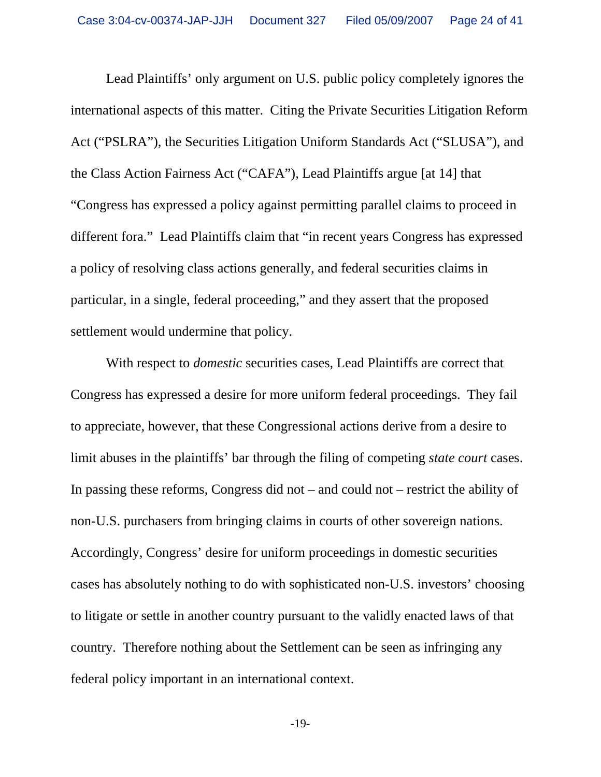Lead Plaintiffs' only argument on U.S. public policy completely ignores the international aspects of this matter. Citing the Private Securities Litigation Reform Act ("PSLRA"), the Securities Litigation Uniform Standards Act ("SLUSA"), and the Class Action Fairness Act ("CAFA"), Lead Plaintiffs argue [at 14] that "Congress has expressed a policy against permitting parallel claims to proceed in different fora." Lead Plaintiffs claim that "in recent years Congress has expressed a policy of resolving class actions generally, and federal securities claims in particular, in a single, federal proceeding," and they assert that the proposed settlement would undermine that policy.

With respect to *domestic* securities cases, Lead Plaintiffs are correct that Congress has expressed a desire for more uniform federal proceedings. They fail to appreciate, however, that these Congressional actions derive from a desire to limit abuses in the plaintiffs' bar through the filing of competing *state court* cases. In passing these reforms, Congress did not – and could not – restrict the ability of non-U.S. purchasers from bringing claims in courts of other sovereign nations. Accordingly, Congress' desire for uniform proceedings in domestic securities cases has absolutely nothing to do with sophisticated non-U.S. investors' choosing to litigate or settle in another country pursuant to the validly enacted laws of that country. Therefore nothing about the Settlement can be seen as infringing any federal policy important in an international context.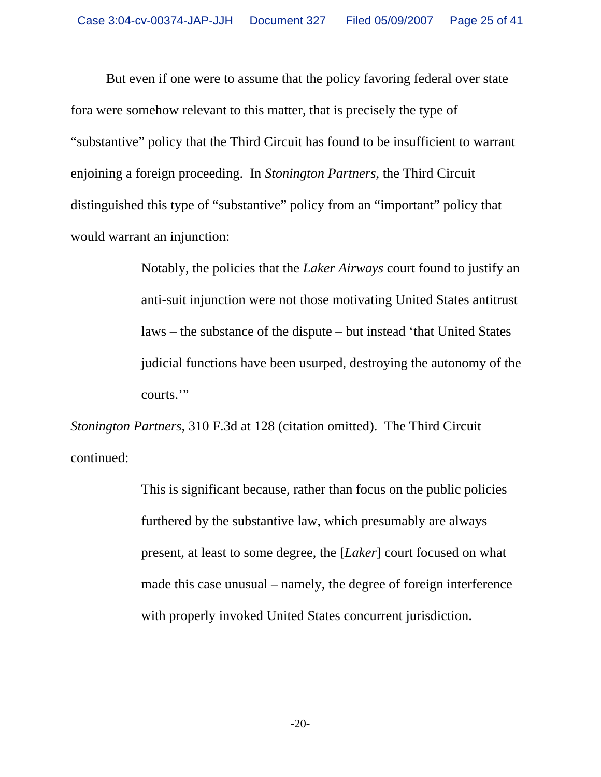But even if one were to assume that the policy favoring federal over state fora were somehow relevant to this matter, that is precisely the type of "substantive" policy that the Third Circuit has found to be insufficient to warrant enjoining a foreign proceeding. In *Stonington Partners*, the Third Circuit distinguished this type of "substantive" policy from an "important" policy that would warrant an injunction:

> Notably, the policies that the *Laker Airways* court found to justify an anti-suit injunction were not those motivating United States antitrust laws – the substance of the dispute – but instead 'that United States judicial functions have been usurped, destroying the autonomy of the courts.'"

*Stonington Partners*, 310 F.3d at 128 (citation omitted). The Third Circuit continued:

> This is significant because, rather than focus on the public policies furthered by the substantive law, which presumably are always present, at least to some degree, the [*Laker*] court focused on what made this case unusual – namely, the degree of foreign interference with properly invoked United States concurrent jurisdiction.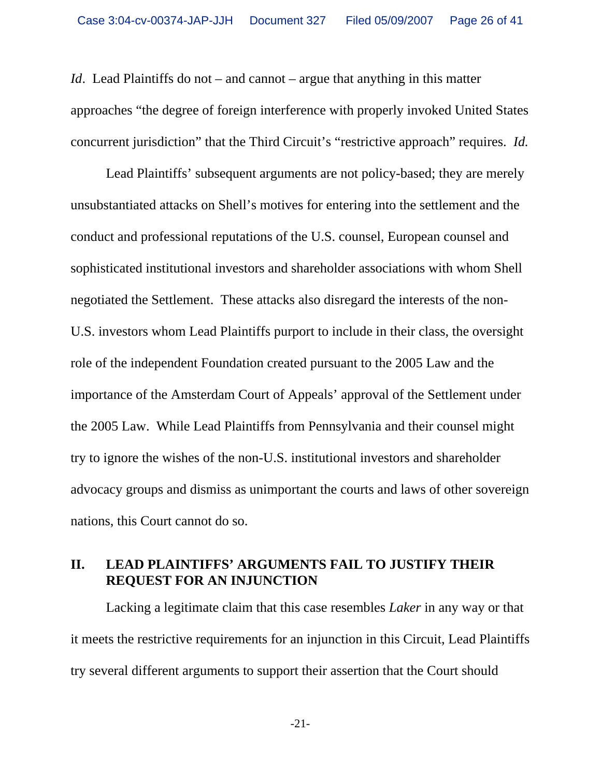*Id.* Lead Plaintiffs do not – and cannot – argue that anything in this matter approaches "the degree of foreign interference with properly invoked United States concurrent jurisdiction" that the Third Circuit's "restrictive approach" requires. *Id.*

Lead Plaintiffs' subsequent arguments are not policy-based; they are merely unsubstantiated attacks on Shell's motives for entering into the settlement and the conduct and professional reputations of the U.S. counsel, European counsel and sophisticated institutional investors and shareholder associations with whom Shell negotiated the Settlement. These attacks also disregard the interests of the non-U.S. investors whom Lead Plaintiffs purport to include in their class, the oversight role of the independent Foundation created pursuant to the 2005 Law and the importance of the Amsterdam Court of Appeals' approval of the Settlement under the 2005 Law. While Lead Plaintiffs from Pennsylvania and their counsel might try to ignore the wishes of the non-U.S. institutional investors and shareholder advocacy groups and dismiss as unimportant the courts and laws of other sovereign nations, this Court cannot do so.

## **II. LEAD PLAINTIFFS' ARGUMENTS FAIL TO JUSTIFY THEIR REQUEST FOR AN INJUNCTION**

Lacking a legitimate claim that this case resembles *Laker* in any way or that it meets the restrictive requirements for an injunction in this Circuit, Lead Plaintiffs try several different arguments to support their assertion that the Court should

-21-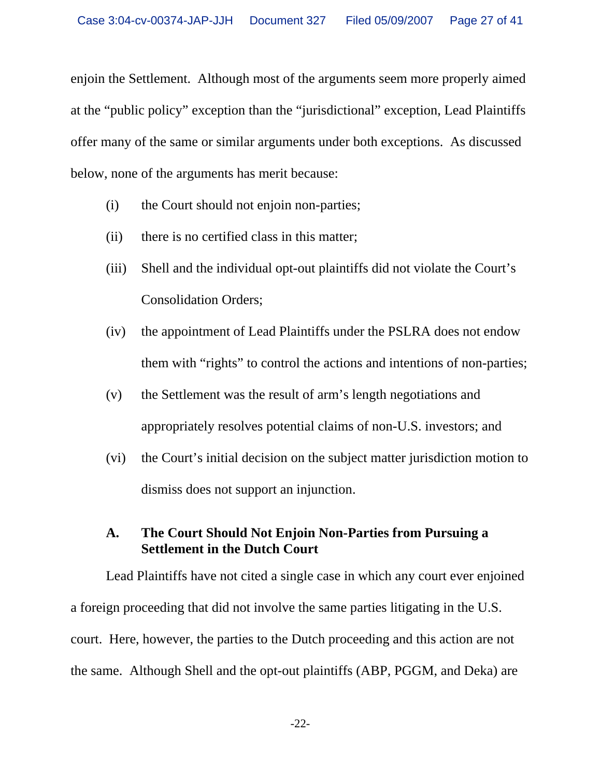enjoin the Settlement. Although most of the arguments seem more properly aimed at the "public policy" exception than the "jurisdictional" exception, Lead Plaintiffs offer many of the same or similar arguments under both exceptions. As discussed below, none of the arguments has merit because:

- (i) the Court should not enjoin non-parties;
- (ii) there is no certified class in this matter;
- (iii) Shell and the individual opt-out plaintiffs did not violate the Court's Consolidation Orders;
- (iv) the appointment of Lead Plaintiffs under the PSLRA does not endow them with "rights" to control the actions and intentions of non-parties;
- (v) the Settlement was the result of arm's length negotiations and appropriately resolves potential claims of non-U.S. investors; and
- (vi) the Court's initial decision on the subject matter jurisdiction motion to dismiss does not support an injunction.

### **A. The Court Should Not Enjoin Non-Parties from Pursuing a Settlement in the Dutch Court**

Lead Plaintiffs have not cited a single case in which any court ever enjoined a foreign proceeding that did not involve the same parties litigating in the U.S. court. Here, however, the parties to the Dutch proceeding and this action are not the same. Although Shell and the opt-out plaintiffs (ABP, PGGM, and Deka) are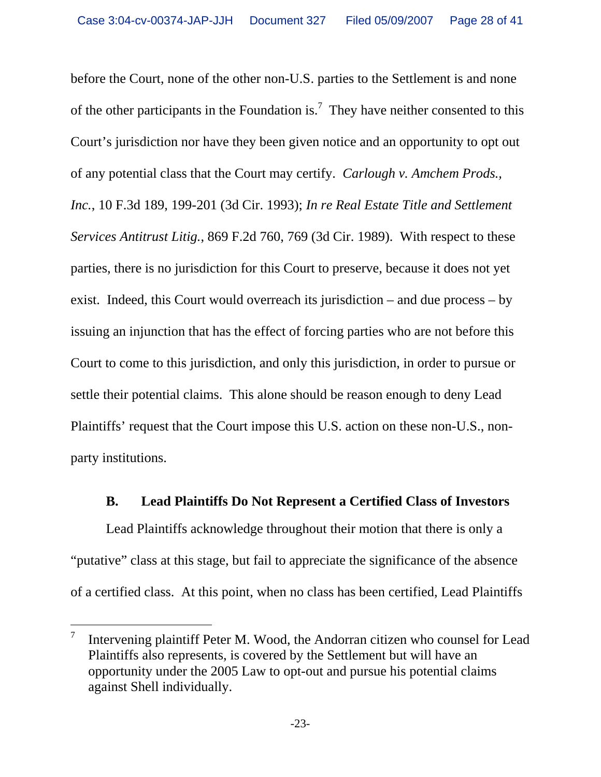before the Court, none of the other non-U.S. parties to the Settlement is and none of the other participants in the Foundation is.<sup>7</sup> They have neither consented to this Court's jurisdiction nor have they been given notice and an opportunity to opt out of any potential class that the Court may certify. *Carlough v. Amchem Prods., Inc.*, 10 F.3d 189, 199-201 (3d Cir. 1993); *In re Real Estate Title and Settlement Services Antitrust Litig.*, 869 F.2d 760, 769 (3d Cir. 1989). With respect to these parties, there is no jurisdiction for this Court to preserve, because it does not yet exist. Indeed, this Court would overreach its jurisdiction – and due process – by issuing an injunction that has the effect of forcing parties who are not before this Court to come to this jurisdiction, and only this jurisdiction, in order to pursue or settle their potential claims. This alone should be reason enough to deny Lead Plaintiffs' request that the Court impose this U.S. action on these non-U.S., nonparty institutions.

#### **B. Lead Plaintiffs Do Not Represent a Certified Class of Investors**

Lead Plaintiffs acknowledge throughout their motion that there is only a "putative" class at this stage, but fail to appreciate the significance of the absence of a certified class. At this point, when no class has been certified, Lead Plaintiffs

 $\overline{a}$ 

<sup>7</sup> Intervening plaintiff Peter M. Wood, the Andorran citizen who counsel for Lead Plaintiffs also represents, is covered by the Settlement but will have an opportunity under the 2005 Law to opt-out and pursue his potential claims against Shell individually.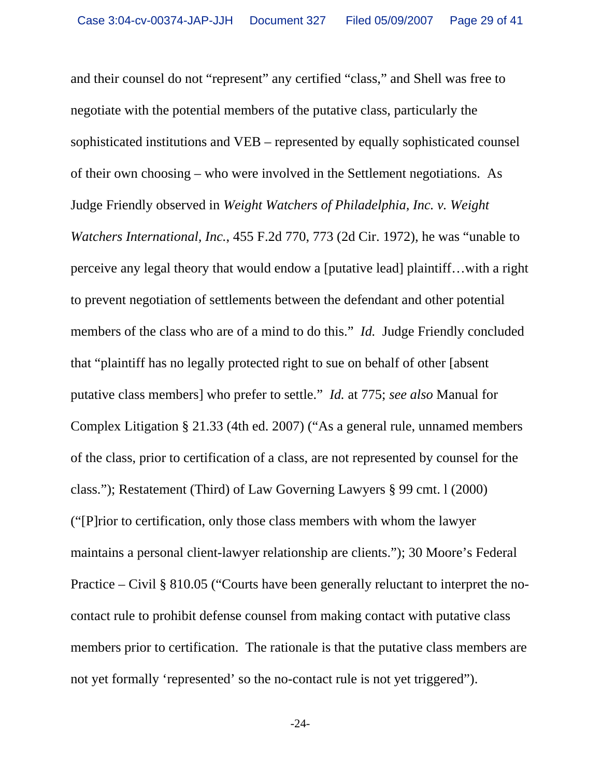and their counsel do not "represent" any certified "class," and Shell was free to negotiate with the potential members of the putative class, particularly the sophisticated institutions and VEB – represented by equally sophisticated counsel of their own choosing – who were involved in the Settlement negotiations. As Judge Friendly observed in *Weight Watchers of Philadelphia, Inc. v. Weight Watchers International, Inc.*, 455 F.2d 770, 773 (2d Cir. 1972), he was "unable to perceive any legal theory that would endow a [putative lead] plaintiff…with a right to prevent negotiation of settlements between the defendant and other potential members of the class who are of a mind to do this." *Id.* Judge Friendly concluded that "plaintiff has no legally protected right to sue on behalf of other [absent putative class members] who prefer to settle." *Id.* at 775; *see also* Manual for Complex Litigation § 21.33 (4th ed. 2007) ("As a general rule, unnamed members of the class, prior to certification of a class, are not represented by counsel for the class."); Restatement (Third) of Law Governing Lawyers § 99 cmt. l (2000) ("[P]rior to certification, only those class members with whom the lawyer maintains a personal client-lawyer relationship are clients."); 30 Moore's Federal Practice – Civil § 810.05 ("Courts have been generally reluctant to interpret the nocontact rule to prohibit defense counsel from making contact with putative class members prior to certification. The rationale is that the putative class members are not yet formally 'represented' so the no-contact rule is not yet triggered").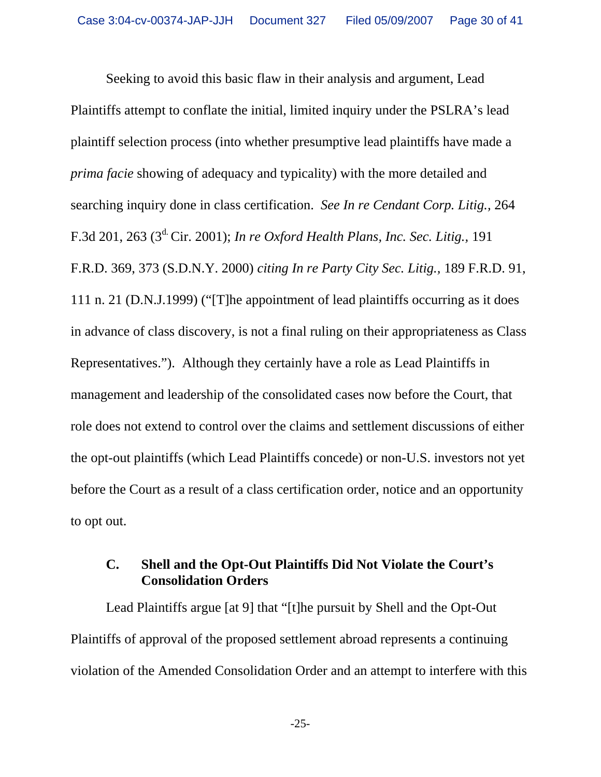Seeking to avoid this basic flaw in their analysis and argument, Lead Plaintiffs attempt to conflate the initial, limited inquiry under the PSLRA's lead plaintiff selection process (into whether presumptive lead plaintiffs have made a *prima facie* showing of adequacy and typicality) with the more detailed and searching inquiry done in class certification. *See In re Cendant Corp. Litig.,* 264 F.3d 201, 263 (3d. Cir. 2001); *In re Oxford Health Plans, Inc. Sec. Litig.,* 191 F.R.D. 369, 373 (S.D.N.Y. 2000) *citing In re Party City Sec. Litig.,* 189 F.R.D. 91, 111 n. 21 (D.N.J.1999) ("[T]he appointment of lead plaintiffs occurring as it does in advance of class discovery, is not a final ruling on their appropriateness as Class Representatives."). Although they certainly have a role as Lead Plaintiffs in management and leadership of the consolidated cases now before the Court, that role does not extend to control over the claims and settlement discussions of either the opt-out plaintiffs (which Lead Plaintiffs concede) or non-U.S. investors not yet before the Court as a result of a class certification order, notice and an opportunity to opt out.

### **C. Shell and the Opt-Out Plaintiffs Did Not Violate the Court's Consolidation Orders**

Lead Plaintiffs argue [at 9] that "[t]he pursuit by Shell and the Opt-Out Plaintiffs of approval of the proposed settlement abroad represents a continuing violation of the Amended Consolidation Order and an attempt to interfere with this

-25-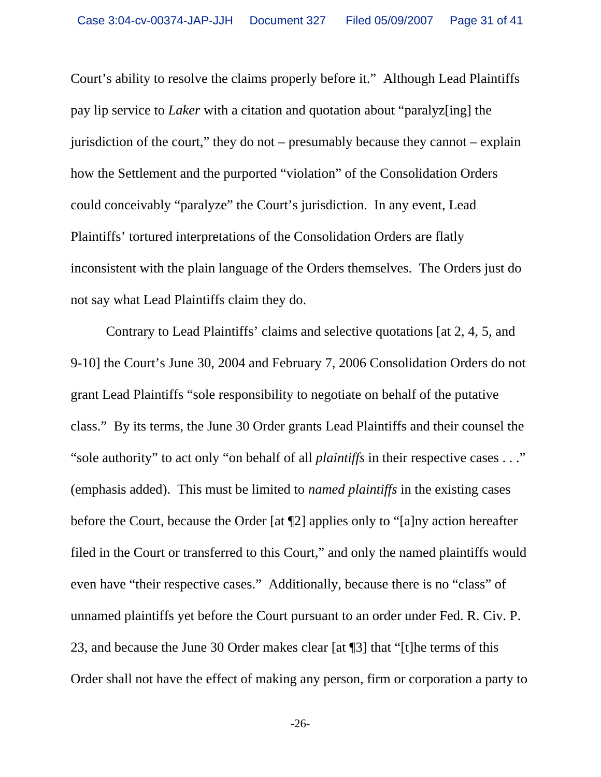Court's ability to resolve the claims properly before it." Although Lead Plaintiffs pay lip service to *Laker* with a citation and quotation about "paralyz[ing] the jurisdiction of the court," they do not – presumably because they cannot – explain how the Settlement and the purported "violation" of the Consolidation Orders could conceivably "paralyze" the Court's jurisdiction. In any event, Lead Plaintiffs' tortured interpretations of the Consolidation Orders are flatly inconsistent with the plain language of the Orders themselves. The Orders just do not say what Lead Plaintiffs claim they do.

Contrary to Lead Plaintiffs' claims and selective quotations [at 2, 4, 5, and 9-10] the Court's June 30, 2004 and February 7, 2006 Consolidation Orders do not grant Lead Plaintiffs "sole responsibility to negotiate on behalf of the putative class." By its terms, the June 30 Order grants Lead Plaintiffs and their counsel the "sole authority" to act only "on behalf of all *plaintiffs* in their respective cases . . ." (emphasis added). This must be limited to *named plaintiffs* in the existing cases before the Court, because the Order [at ¶2] applies only to "[a]ny action hereafter filed in the Court or transferred to this Court," and only the named plaintiffs would even have "their respective cases." Additionally, because there is no "class" of unnamed plaintiffs yet before the Court pursuant to an order under Fed. R. Civ. P. 23, and because the June 30 Order makes clear [at ¶3] that "[t]he terms of this Order shall not have the effect of making any person, firm or corporation a party to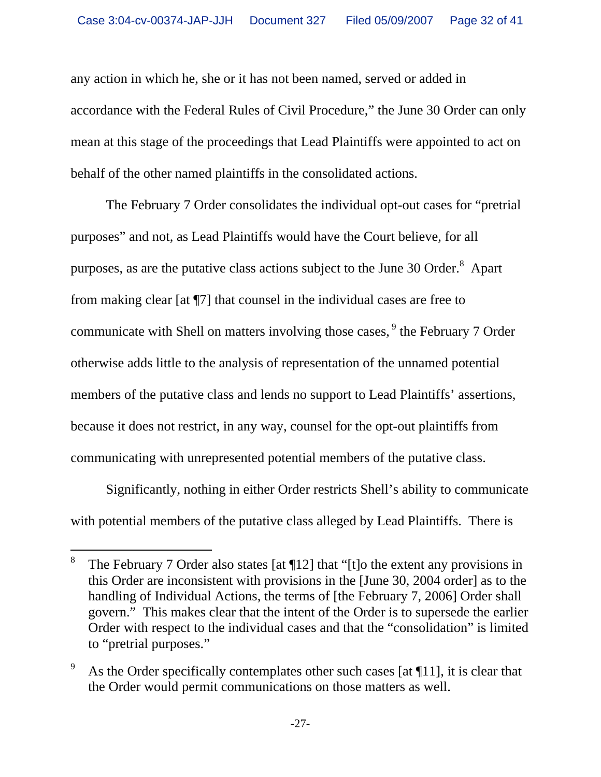any action in which he, she or it has not been named, served or added in accordance with the Federal Rules of Civil Procedure," the June 30 Order can only mean at this stage of the proceedings that Lead Plaintiffs were appointed to act on behalf of the other named plaintiffs in the consolidated actions.

The February 7 Order consolidates the individual opt-out cases for "pretrial purposes" and not, as Lead Plaintiffs would have the Court believe, for all purposes, as are the putative class actions subject to the June 30 Order. $^8$  Apart from making clear [at ¶7] that counsel in the individual cases are free to communicate with Shell on matters involving those cases, <sup>9</sup> the February 7 Order otherwise adds little to the analysis of representation of the unnamed potential members of the putative class and lends no support to Lead Plaintiffs' assertions, because it does not restrict, in any way, counsel for the opt-out plaintiffs from communicating with unrepresented potential members of the putative class.

Significantly, nothing in either Order restricts Shell's ability to communicate with potential members of the putative class alleged by Lead Plaintiffs. There is

l

<sup>8</sup> The February 7 Order also states [at ¶12] that "[t]o the extent any provisions in this Order are inconsistent with provisions in the [June 30, 2004 order] as to the handling of Individual Actions, the terms of [the February 7, 2006] Order shall govern." This makes clear that the intent of the Order is to supersede the earlier Order with respect to the individual cases and that the "consolidation" is limited to "pretrial purposes."

<sup>9</sup> As the Order specifically contemplates other such cases [at ¶11], it is clear that the Order would permit communications on those matters as well.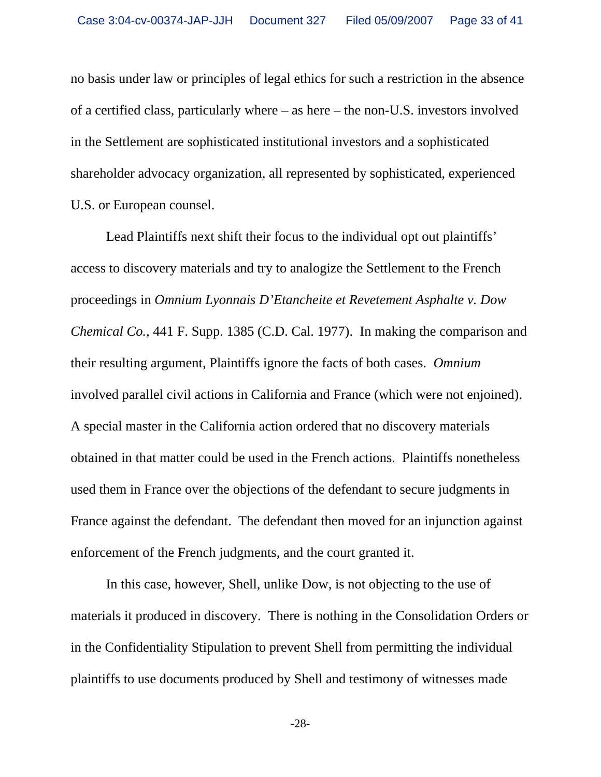no basis under law or principles of legal ethics for such a restriction in the absence of a certified class, particularly where – as here – the non-U.S. investors involved in the Settlement are sophisticated institutional investors and a sophisticated shareholder advocacy organization, all represented by sophisticated, experienced U.S. or European counsel.

Lead Plaintiffs next shift their focus to the individual opt out plaintiffs' access to discovery materials and try to analogize the Settlement to the French proceedings in *Omnium Lyonnais D'Etancheite et Revetement Asphalte v. Dow Chemical Co.*, 441 F. Supp. 1385 (C.D. Cal. 1977). In making the comparison and their resulting argument, Plaintiffs ignore the facts of both cases. *Omnium*  involved parallel civil actions in California and France (which were not enjoined). A special master in the California action ordered that no discovery materials obtained in that matter could be used in the French actions. Plaintiffs nonetheless used them in France over the objections of the defendant to secure judgments in France against the defendant. The defendant then moved for an injunction against enforcement of the French judgments, and the court granted it.

In this case, however, Shell, unlike Dow, is not objecting to the use of materials it produced in discovery. There is nothing in the Consolidation Orders or in the Confidentiality Stipulation to prevent Shell from permitting the individual plaintiffs to use documents produced by Shell and testimony of witnesses made

-28-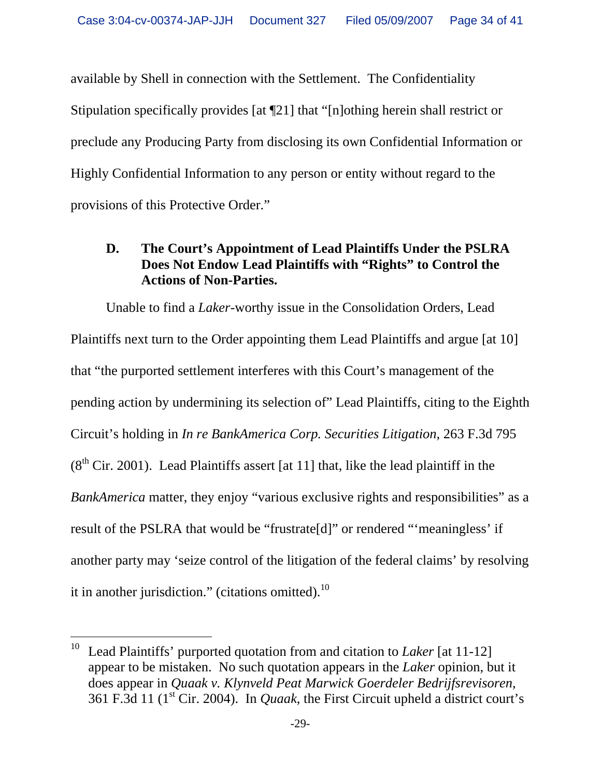available by Shell in connection with the Settlement. The Confidentiality Stipulation specifically provides [at ¶21] that "[n]othing herein shall restrict or preclude any Producing Party from disclosing its own Confidential Information or Highly Confidential Information to any person or entity without regard to the provisions of this Protective Order."

### **D. The Court's Appointment of Lead Plaintiffs Under the PSLRA Does Not Endow Lead Plaintiffs with "Rights" to Control the Actions of Non-Parties.**

Unable to find a *Laker*-worthy issue in the Consolidation Orders, Lead Plaintiffs next turn to the Order appointing them Lead Plaintiffs and argue [at 10] that "the purported settlement interferes with this Court's management of the pending action by undermining its selection of" Lead Plaintiffs, citing to the Eighth Circuit's holding in *In re BankAmerica Corp. Securities Litigation*, 263 F.3d 795  $(8<sup>th</sup> Cir. 2001)$ . Lead Plaintiffs assert [at 11] that, like the lead plaintiff in the *BankAmerica* matter, they enjoy "various exclusive rights and responsibilities" as a result of the PSLRA that would be "frustrate[d]" or rendered "'meaningless' if another party may 'seize control of the litigation of the federal claims' by resolving it in another jurisdiction." (citations omitted). $^{10}$ 

-

<sup>10</sup> Lead Plaintiffs' purported quotation from and citation to *Laker* [at 11-12] appear to be mistaken. No such quotation appears in the *Laker* opinion, but it does appear in *Quaak v. Klynveld Peat Marwick Goerdeler Bedrijfsrevisoren*, 361 F.3d 11 (1st Cir. 2004). In *Quaak*, the First Circuit upheld a district court's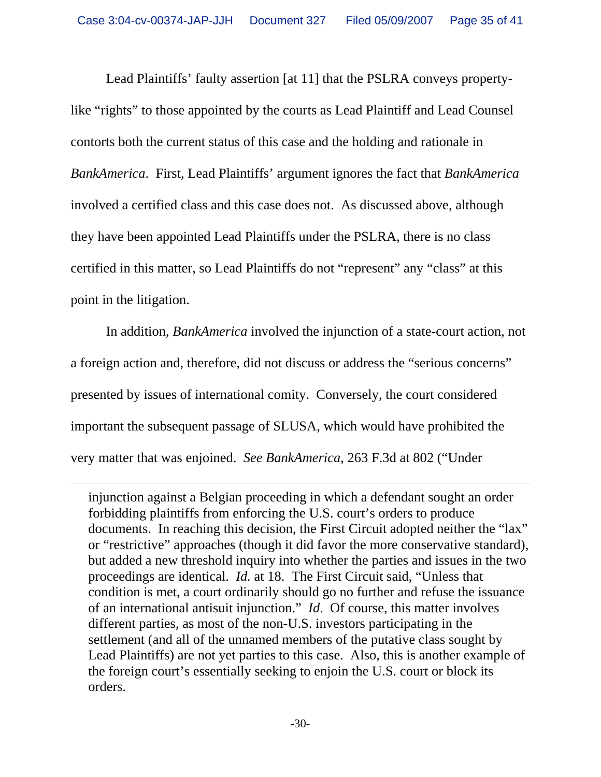Lead Plaintiffs' faulty assertion [at 11] that the PSLRA conveys propertylike "rights" to those appointed by the courts as Lead Plaintiff and Lead Counsel contorts both the current status of this case and the holding and rationale in *BankAmerica*. First, Lead Plaintiffs' argument ignores the fact that *BankAmerica* involved a certified class and this case does not. As discussed above, although they have been appointed Lead Plaintiffs under the PSLRA, there is no class certified in this matter, so Lead Plaintiffs do not "represent" any "class" at this point in the litigation.

In addition, *BankAmerica* involved the injunction of a state-court action, not a foreign action and, therefore, did not discuss or address the "serious concerns" presented by issues of international comity. Conversely, the court considered important the subsequent passage of SLUSA, which would have prohibited the very matter that was enjoined. *See BankAmerica*, 263 F.3d at 802 ("Under

 $\overline{a}$ 

injunction against a Belgian proceeding in which a defendant sought an order forbidding plaintiffs from enforcing the U.S. court's orders to produce documents. In reaching this decision, the First Circuit adopted neither the "lax" or "restrictive" approaches (though it did favor the more conservative standard), but added a new threshold inquiry into whether the parties and issues in the two proceedings are identical. *Id.* at 18. The First Circuit said, "Unless that condition is met, a court ordinarily should go no further and refuse the issuance of an international antisuit injunction." *Id*. Of course, this matter involves different parties, as most of the non-U.S. investors participating in the settlement (and all of the unnamed members of the putative class sought by Lead Plaintiffs) are not yet parties to this case. Also, this is another example of the foreign court's essentially seeking to enjoin the U.S. court or block its orders.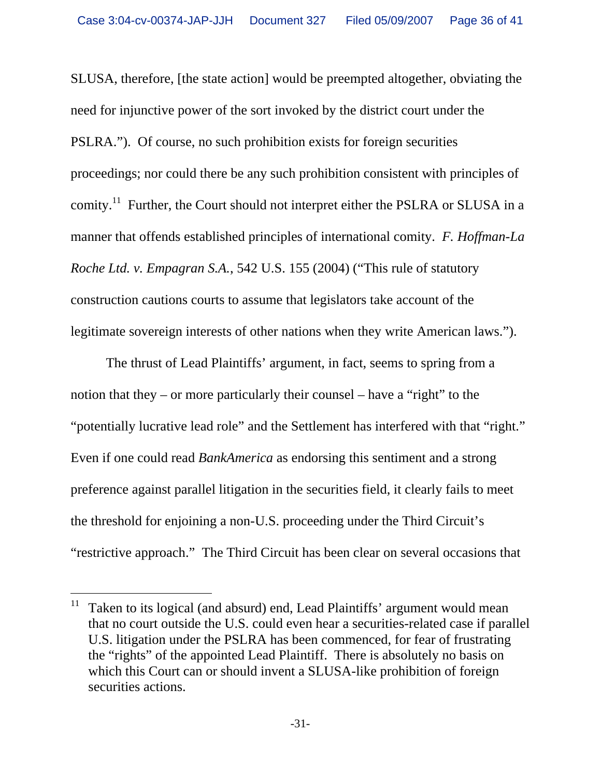SLUSA, therefore, [the state action] would be preempted altogether, obviating the need for injunctive power of the sort invoked by the district court under the PSLRA."). Of course, no such prohibition exists for foreign securities proceedings; nor could there be any such prohibition consistent with principles of comity.<sup>11</sup> Further, the Court should not interpret either the PSLRA or SLUSA in a manner that offends established principles of international comity. *F. Hoffman-La Roche Ltd. v. Empagran S.A.*, 542 U.S. 155 (2004) ("This rule of statutory construction cautions courts to assume that legislators take account of the legitimate sovereign interests of other nations when they write American laws.").

The thrust of Lead Plaintiffs' argument, in fact, seems to spring from a notion that they – or more particularly their counsel – have a "right" to the "potentially lucrative lead role" and the Settlement has interfered with that "right." Even if one could read *BankAmerica* as endorsing this sentiment and a strong preference against parallel litigation in the securities field, it clearly fails to meet the threshold for enjoining a non-U.S. proceeding under the Third Circuit's "restrictive approach." The Third Circuit has been clear on several occasions that

l <sup>11</sup> Taken to its logical (and absurd) end, Lead Plaintiffs' argument would mean that no court outside the U.S. could even hear a securities-related case if parallel U.S. litigation under the PSLRA has been commenced, for fear of frustrating the "rights" of the appointed Lead Plaintiff. There is absolutely no basis on which this Court can or should invent a SLUSA-like prohibition of foreign securities actions.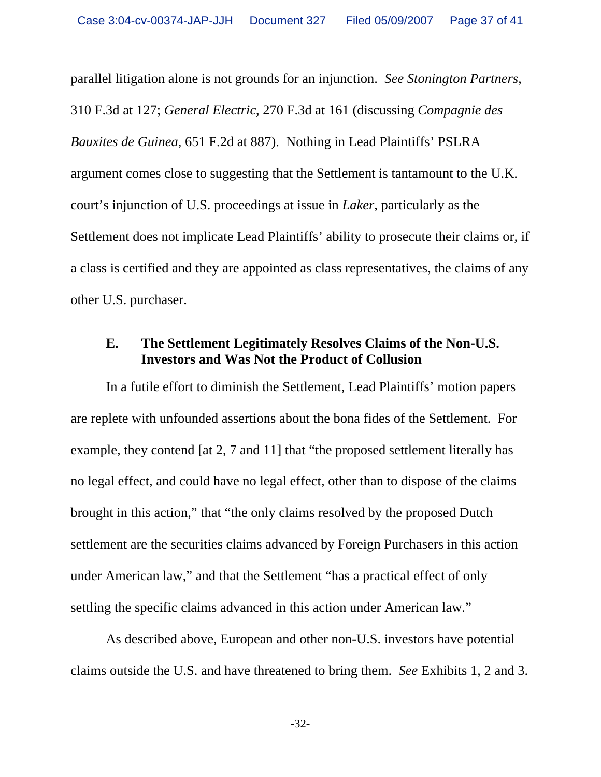parallel litigation alone is not grounds for an injunction. *See Stonington Partners*, 310 F.3d at 127; *General Electric*, 270 F.3d at 161 (discussing *Compagnie des Bauxites de Guinea*, 651 F.2d at 887). Nothing in Lead Plaintiffs' PSLRA argument comes close to suggesting that the Settlement is tantamount to the U.K. court's injunction of U.S. proceedings at issue in *Laker*, particularly as the Settlement does not implicate Lead Plaintiffs' ability to prosecute their claims or, if a class is certified and they are appointed as class representatives, the claims of any other U.S. purchaser.

#### **E. The Settlement Legitimately Resolves Claims of the Non-U.S. Investors and Was Not the Product of Collusion**

In a futile effort to diminish the Settlement, Lead Plaintiffs' motion papers are replete with unfounded assertions about the bona fides of the Settlement. For example, they contend [at 2, 7 and 11] that "the proposed settlement literally has no legal effect, and could have no legal effect, other than to dispose of the claims brought in this action," that "the only claims resolved by the proposed Dutch settlement are the securities claims advanced by Foreign Purchasers in this action under American law," and that the Settlement "has a practical effect of only settling the specific claims advanced in this action under American law."

As described above, European and other non-U.S. investors have potential claims outside the U.S. and have threatened to bring them. *See* Exhibits 1, 2 and 3.

-32-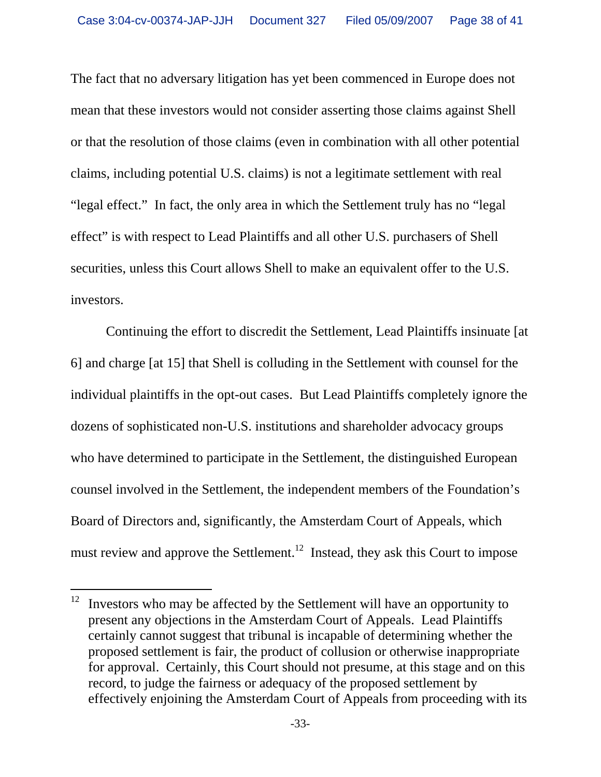The fact that no adversary litigation has yet been commenced in Europe does not mean that these investors would not consider asserting those claims against Shell or that the resolution of those claims (even in combination with all other potential claims, including potential U.S. claims) is not a legitimate settlement with real "legal effect." In fact, the only area in which the Settlement truly has no "legal effect" is with respect to Lead Plaintiffs and all other U.S. purchasers of Shell securities, unless this Court allows Shell to make an equivalent offer to the U.S. investors.

Continuing the effort to discredit the Settlement, Lead Plaintiffs insinuate [at 6] and charge [at 15] that Shell is colluding in the Settlement with counsel for the individual plaintiffs in the opt-out cases. But Lead Plaintiffs completely ignore the dozens of sophisticated non-U.S. institutions and shareholder advocacy groups who have determined to participate in the Settlement, the distinguished European counsel involved in the Settlement, the independent members of the Foundation's Board of Directors and, significantly, the Amsterdam Court of Appeals, which must review and approve the Settlement.<sup>12</sup> Instead, they ask this Court to impose

<sup>12</sup> 12 Investors who may be affected by the Settlement will have an opportunity to present any objections in the Amsterdam Court of Appeals. Lead Plaintiffs certainly cannot suggest that tribunal is incapable of determining whether the proposed settlement is fair, the product of collusion or otherwise inappropriate for approval. Certainly, this Court should not presume, at this stage and on this record, to judge the fairness or adequacy of the proposed settlement by effectively enjoining the Amsterdam Court of Appeals from proceeding with its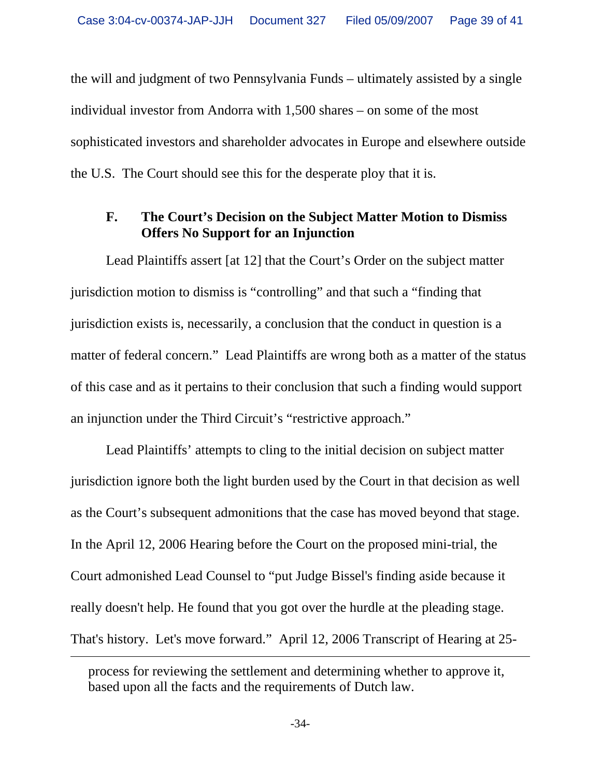the will and judgment of two Pennsylvania Funds – ultimately assisted by a single individual investor from Andorra with 1,500 shares – on some of the most sophisticated investors and shareholder advocates in Europe and elsewhere outside the U.S. The Court should see this for the desperate ploy that it is.

### **F. The Court's Decision on the Subject Matter Motion to Dismiss Offers No Support for an Injunction**

Lead Plaintiffs assert [at 12] that the Court's Order on the subject matter jurisdiction motion to dismiss is "controlling" and that such a "finding that jurisdiction exists is, necessarily, a conclusion that the conduct in question is a matter of federal concern." Lead Plaintiffs are wrong both as a matter of the status of this case and as it pertains to their conclusion that such a finding would support an injunction under the Third Circuit's "restrictive approach."

Lead Plaintiffs' attempts to cling to the initial decision on subject matter jurisdiction ignore both the light burden used by the Court in that decision as well as the Court's subsequent admonitions that the case has moved beyond that stage. In the April 12, 2006 Hearing before the Court on the proposed mini-trial, the Court admonished Lead Counsel to "put Judge Bissel's finding aside because it really doesn't help. He found that you got over the hurdle at the pleading stage. That's history. Let's move forward." April 12, 2006 Transcript of Hearing at 25-

 $\overline{a}$ 

-34-

process for reviewing the settlement and determining whether to approve it, based upon all the facts and the requirements of Dutch law.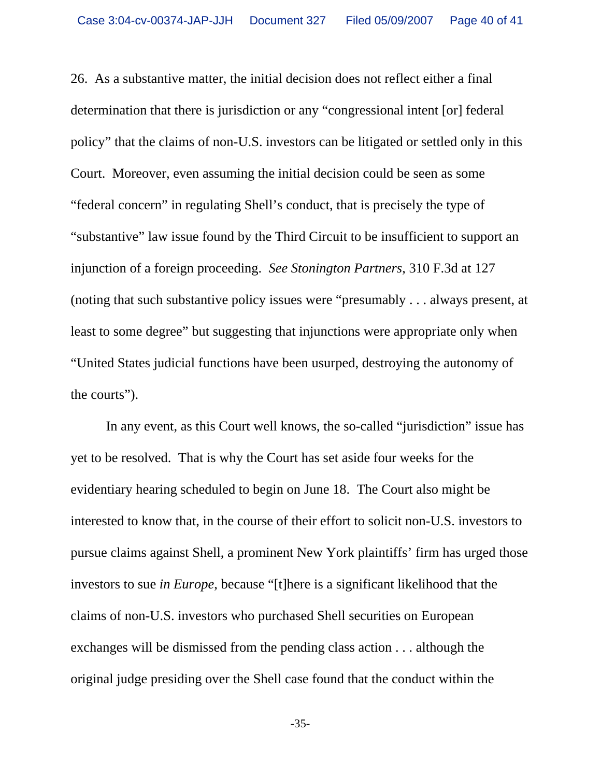26. As a substantive matter, the initial decision does not reflect either a final determination that there is jurisdiction or any "congressional intent [or] federal policy" that the claims of non-U.S. investors can be litigated or settled only in this Court. Moreover, even assuming the initial decision could be seen as some "federal concern" in regulating Shell's conduct, that is precisely the type of "substantive" law issue found by the Third Circuit to be insufficient to support an injunction of a foreign proceeding. *See Stonington Partners*, 310 F.3d at 127 (noting that such substantive policy issues were "presumably . . . always present, at least to some degree" but suggesting that injunctions were appropriate only when "United States judicial functions have been usurped, destroying the autonomy of the courts").

In any event, as this Court well knows, the so-called "jurisdiction" issue has yet to be resolved. That is why the Court has set aside four weeks for the evidentiary hearing scheduled to begin on June 18. The Court also might be interested to know that, in the course of their effort to solicit non-U.S. investors to pursue claims against Shell, a prominent New York plaintiffs' firm has urged those investors to sue *in Europe*, because "[t]here is a significant likelihood that the claims of non-U.S. investors who purchased Shell securities on European exchanges will be dismissed from the pending class action . . . although the original judge presiding over the Shell case found that the conduct within the

-35-